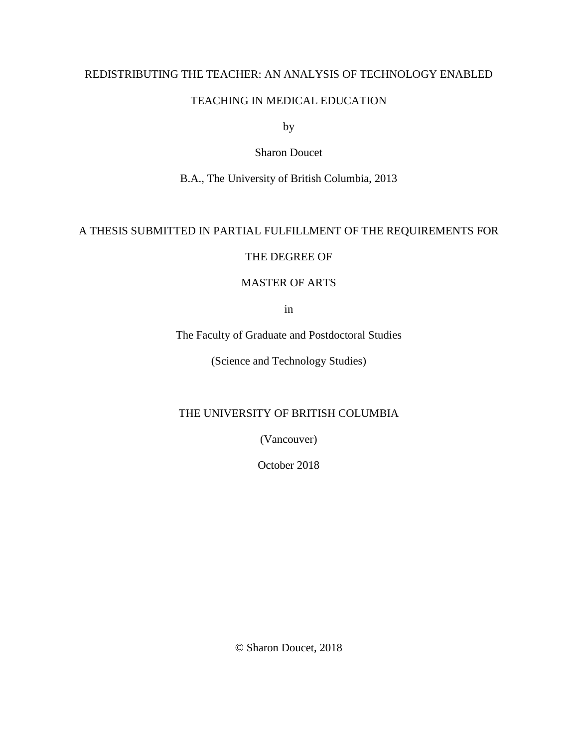## REDISTRIBUTING THE TEACHER: AN ANALYSIS OF TECHNOLOGY ENABLED

## TEACHING IN MEDICAL EDUCATION

by

## Sharon Doucet

B.A., The University of British Columbia, 2013

# A THESIS SUBMITTED IN PARTIAL FULFILLMENT OF THE REQUIREMENTS FOR

## THE DEGREE OF

## MASTER OF ARTS

in

The Faculty of Graduate and Postdoctoral Studies

(Science and Technology Studies)

# THE UNIVERSITY OF BRITISH COLUMBIA

(Vancouver)

October 2018

© Sharon Doucet, 2018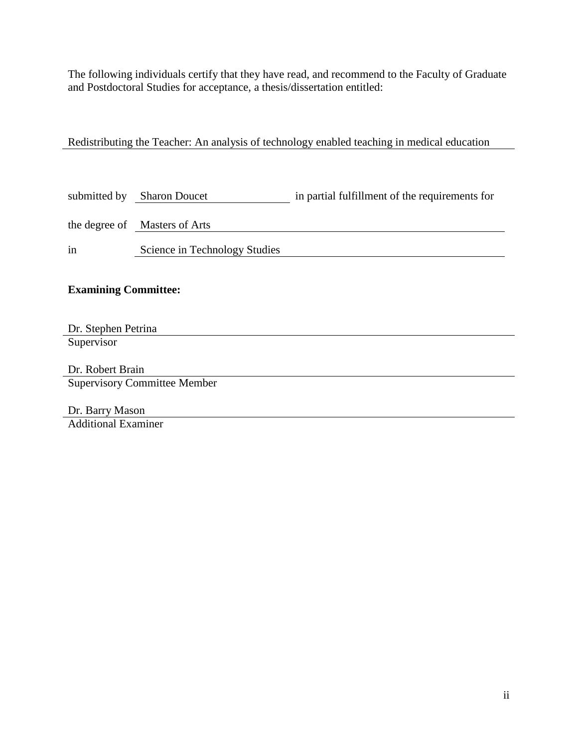The following individuals certify that they have read, and recommend to the Faculty of Graduate and Postdoctoral Studies for acceptance, a thesis/dissertation entitled:

Redistributing the Teacher: An analysis of technology enabled teaching in medical education

|    | submitted by Sharon Doucet    | in partial fulfillment of the requirements for |
|----|-------------------------------|------------------------------------------------|
|    | the degree of Masters of Arts |                                                |
| in | Science in Technology Studies |                                                |
|    |                               |                                                |

# **Examining Committee:**

Dr. Stephen Petrina **Supervisor** 

Dr. Robert Brain Supervisory Committee Member

Dr. Barry Mason Additional Examiner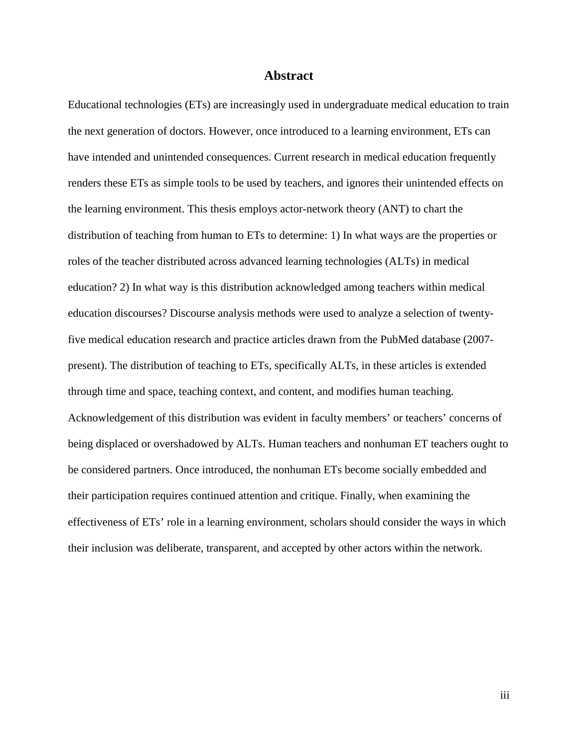### **Abstract**

Educational technologies (ETs) are increasingly used in undergraduate medical education to train the next generation of doctors. However, once introduced to a learning environment, ETs can have intended and unintended consequences. Current research in medical education frequently renders these ETs as simple tools to be used by teachers, and ignores their unintended effects on the learning environment. This thesis employs actor-network theory (ANT) to chart the distribution of teaching from human to ETs to determine: 1) In what ways are the properties or roles of the teacher distributed across advanced learning technologies (ALTs) in medical education? 2) In what way is this distribution acknowledged among teachers within medical education discourses? Discourse analysis methods were used to analyze a selection of twentyfive medical education research and practice articles drawn from the PubMed database (2007 present). The distribution of teaching to ETs, specifically ALTs, in these articles is extended through time and space, teaching context, and content, and modifies human teaching. Acknowledgement of this distribution was evident in faculty members' or teachers' concerns of being displaced or overshadowed by ALTs. Human teachers and nonhuman ET teachers ought to be considered partners. Once introduced, the nonhuman ETs become socially embedded and their participation requires continued attention and critique. Finally, when examining the effectiveness of ETs' role in a learning environment, scholars should consider the ways in which their inclusion was deliberate, transparent, and accepted by other actors within the network.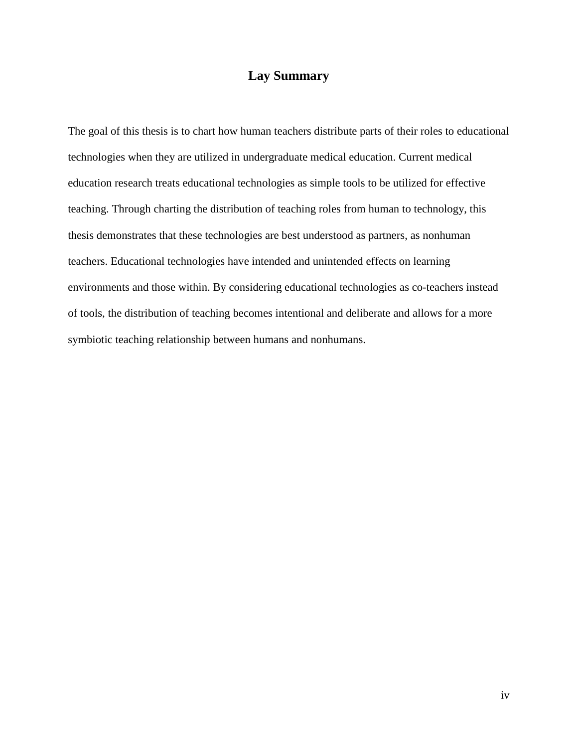# **Lay Summary**

The goal of this thesis is to chart how human teachers distribute parts of their roles to educational technologies when they are utilized in undergraduate medical education. Current medical education research treats educational technologies as simple tools to be utilized for effective teaching. Through charting the distribution of teaching roles from human to technology, this thesis demonstrates that these technologies are best understood as partners, as nonhuman teachers. Educational technologies have intended and unintended effects on learning environments and those within. By considering educational technologies as co-teachers instead of tools, the distribution of teaching becomes intentional and deliberate and allows for a more symbiotic teaching relationship between humans and nonhumans.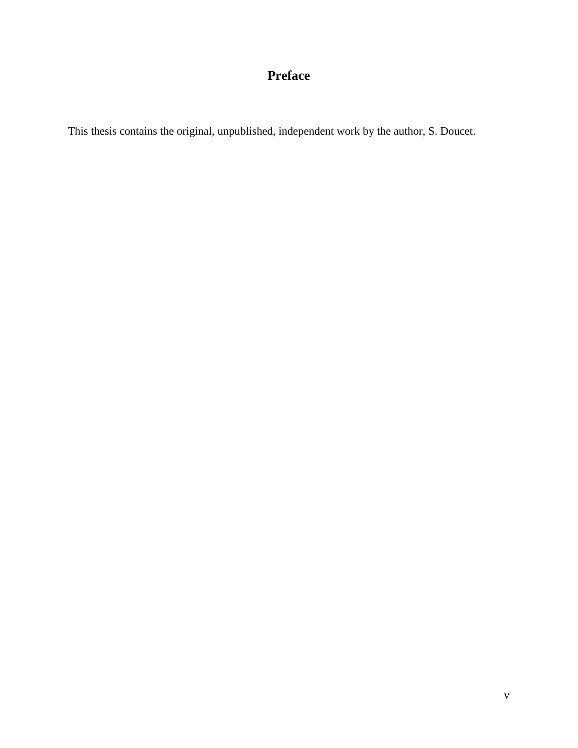# **Preface**

This thesis contains the original, unpublished, independent work by the author, S. Doucet.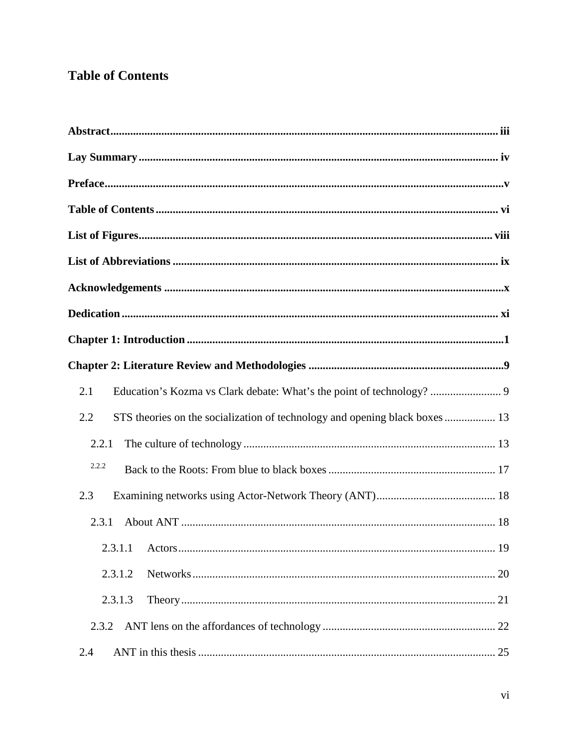# **Table of Contents**

| Education's Kozma vs Clark debate: What's the point of technology?  9<br>2.1 |
|------------------------------------------------------------------------------|
| 2.2                                                                          |
| 2.2.1                                                                        |
| 2.2.2                                                                        |
| 2.3                                                                          |
| 2.3.1                                                                        |
| 19                                                                           |
| 2.3.1.2                                                                      |
| 2.3.1.3                                                                      |
| 2.3.2                                                                        |
| 2.4                                                                          |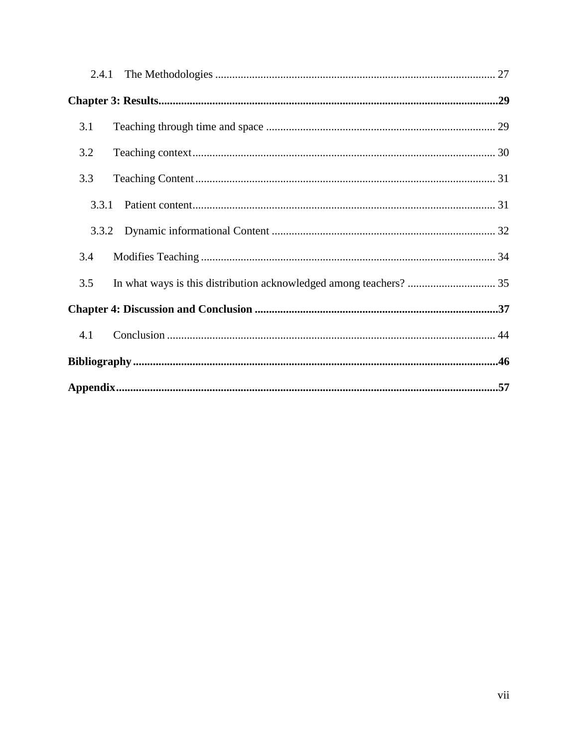| 2.4.1 |  |
|-------|--|
|       |  |
| 3.1   |  |
| 3.2   |  |
| 3.3   |  |
| 3.3.1 |  |
| 3.3.2 |  |
| 3.4   |  |
| 3.5   |  |
|       |  |
| 4.1   |  |
|       |  |
|       |  |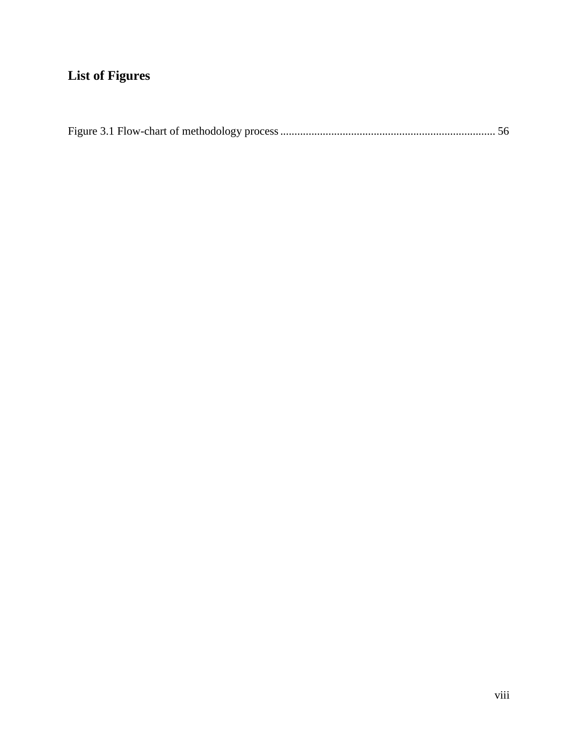# **List of Figures**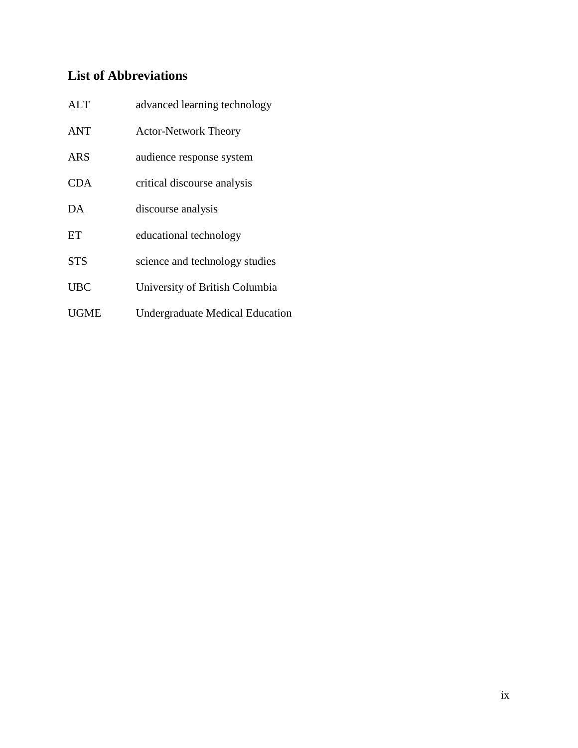# **List of Abbreviations**

| <b>ALT</b>  | advanced learning technology           |
|-------------|----------------------------------------|
| <b>ANT</b>  | <b>Actor-Network Theory</b>            |
| ARS         | audience response system               |
| <b>CDA</b>  | critical discourse analysis            |
| DA          | discourse analysis                     |
| ET          | educational technology                 |
| <b>STS</b>  | science and technology studies         |
| <b>UBC</b>  | University of British Columbia         |
| <b>UGME</b> | <b>Undergraduate Medical Education</b> |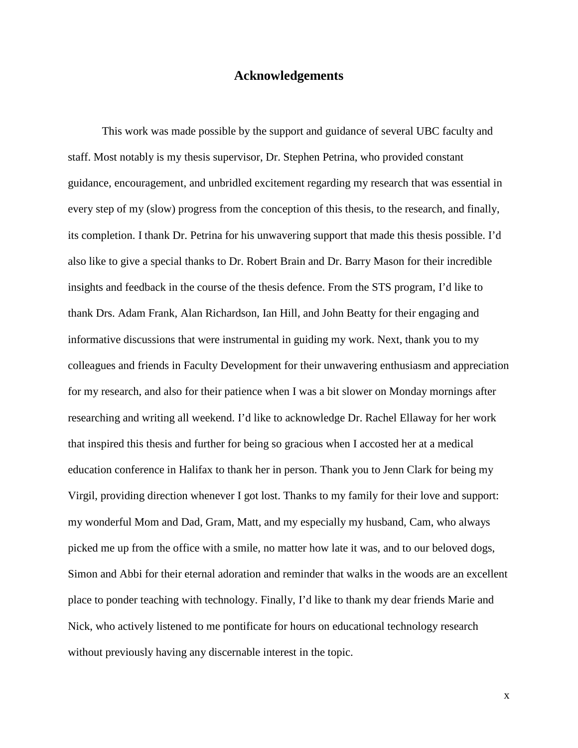# **Acknowledgements**

This work was made possible by the support and guidance of several UBC faculty and staff. Most notably is my thesis supervisor, Dr. Stephen Petrina, who provided constant guidance, encouragement, and unbridled excitement regarding my research that was essential in every step of my (slow) progress from the conception of this thesis, to the research, and finally, its completion. I thank Dr. Petrina for his unwavering support that made this thesis possible. I'd also like to give a special thanks to Dr. Robert Brain and Dr. Barry Mason for their incredible insights and feedback in the course of the thesis defence. From the STS program, I'd like to thank Drs. Adam Frank, Alan Richardson, Ian Hill, and John Beatty for their engaging and informative discussions that were instrumental in guiding my work. Next, thank you to my colleagues and friends in Faculty Development for their unwavering enthusiasm and appreciation for my research, and also for their patience when I was a bit slower on Monday mornings after researching and writing all weekend. I'd like to acknowledge Dr. Rachel Ellaway for her work that inspired this thesis and further for being so gracious when I accosted her at a medical education conference in Halifax to thank her in person. Thank you to Jenn Clark for being my Virgil, providing direction whenever I got lost. Thanks to my family for their love and support: my wonderful Mom and Dad, Gram, Matt, and my especially my husband, Cam, who always picked me up from the office with a smile, no matter how late it was, and to our beloved dogs, Simon and Abbi for their eternal adoration and reminder that walks in the woods are an excellent place to ponder teaching with technology. Finally, I'd like to thank my dear friends Marie and Nick, who actively listened to me pontificate for hours on educational technology research without previously having any discernable interest in the topic.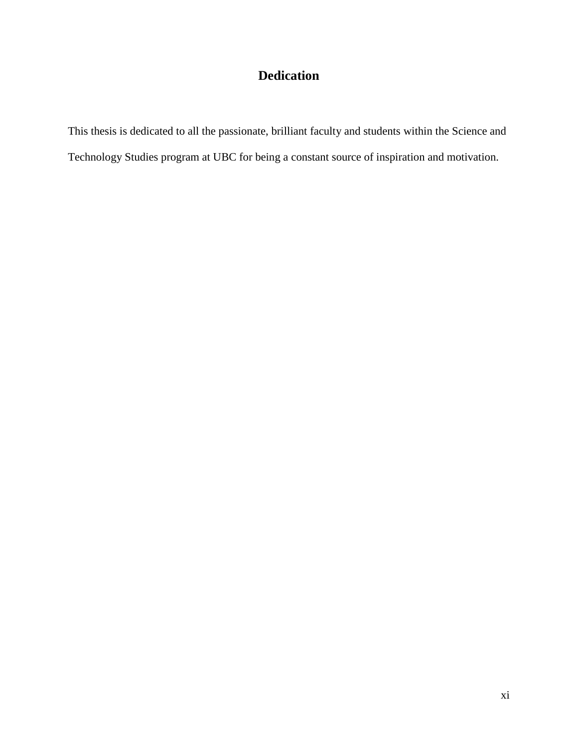# **Dedication**

This thesis is dedicated to all the passionate, brilliant faculty and students within the Science and Technology Studies program at UBC for being a constant source of inspiration and motivation.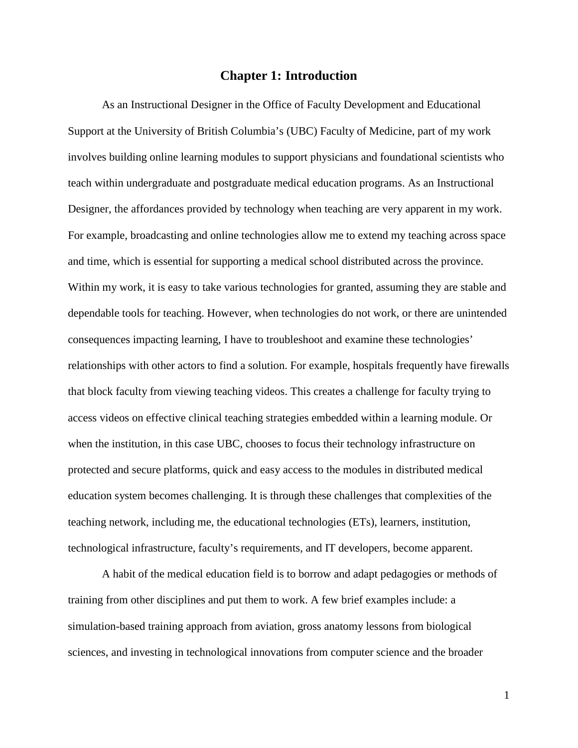## **Chapter 1: Introduction**

As an Instructional Designer in the Office of Faculty Development and Educational Support at the University of British Columbia's (UBC) Faculty of Medicine, part of my work involves building online learning modules to support physicians and foundational scientists who teach within undergraduate and postgraduate medical education programs. As an Instructional Designer, the affordances provided by technology when teaching are very apparent in my work. For example, broadcasting and online technologies allow me to extend my teaching across space and time, which is essential for supporting a medical school distributed across the province. Within my work, it is easy to take various technologies for granted, assuming they are stable and dependable tools for teaching. However, when technologies do not work, or there are unintended consequences impacting learning, I have to troubleshoot and examine these technologies' relationships with other actors to find a solution. For example, hospitals frequently have firewalls that block faculty from viewing teaching videos. This creates a challenge for faculty trying to access videos on effective clinical teaching strategies embedded within a learning module. Or when the institution, in this case UBC, chooses to focus their technology infrastructure on protected and secure platforms, quick and easy access to the modules in distributed medical education system becomes challenging. It is through these challenges that complexities of the teaching network, including me, the educational technologies (ETs), learners, institution, technological infrastructure, faculty's requirements, and IT developers, become apparent.

A habit of the medical education field is to borrow and adapt pedagogies or methods of training from other disciplines and put them to work. A few brief examples include: a simulation-based training approach from aviation, gross anatomy lessons from biological sciences, and investing in technological innovations from computer science and the broader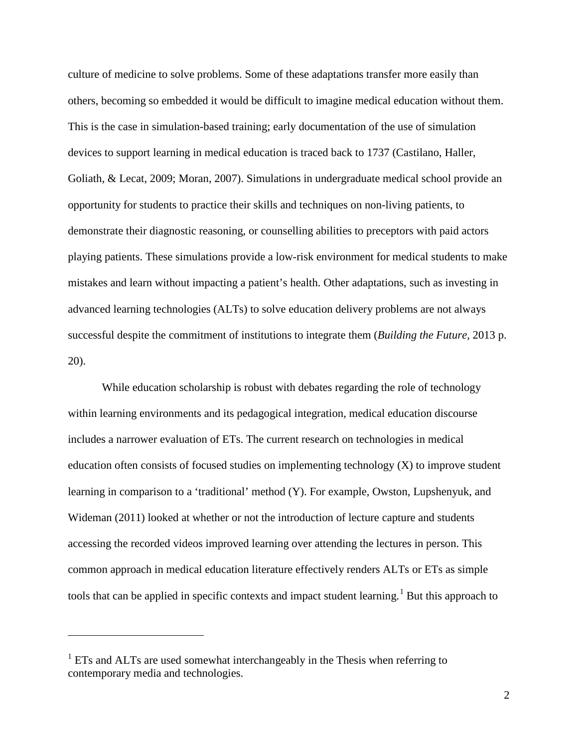culture of medicine to solve problems. Some of these adaptations transfer more easily than others, becoming so embedded it would be difficult to imagine medical education without them. This is the case in simulation-based training; early documentation of the use of simulation devices to support learning in medical education is traced back to 1737 (Castilano, Haller, Goliath, & Lecat, 2009; Moran, 2007). Simulations in undergraduate medical school provide an opportunity for students to practice their skills and techniques on non-living patients, to demonstrate their diagnostic reasoning, or counselling abilities to preceptors with paid actors playing patients. These simulations provide a low-risk environment for medical students to make mistakes and learn without impacting a patient's health. Other adaptations, such as investing in advanced learning technologies (ALTs) to solve education delivery problems are not always successful despite the commitment of institutions to integrate them (*Building the Future,* 2013 p. 20).

While education scholarship is robust with debates regarding the role of technology within learning environments and its pedagogical integration, medical education discourse includes a narrower evaluation of ETs. The current research on technologies in medical education often consists of focused studies on implementing technology (X) to improve student learning in comparison to a 'traditional' method (Y). For example, Owston, Lupshenyuk, and Wideman (2011) looked at whether or not the introduction of lecture capture and students accessing the recorded videos improved learning over attending the lectures in person. This common approach in medical education literature effectively renders ALTs or ETs as simple tools that can be applied in specific contexts and impact student learning.<sup>[1](#page-12-0)</sup> But this approach to

 $\overline{a}$ 

<span id="page-12-0"></span><sup>&</sup>lt;sup>1</sup> ETs and ALTs are used somewhat interchangeably in the Thesis when referring to contemporary media and technologies.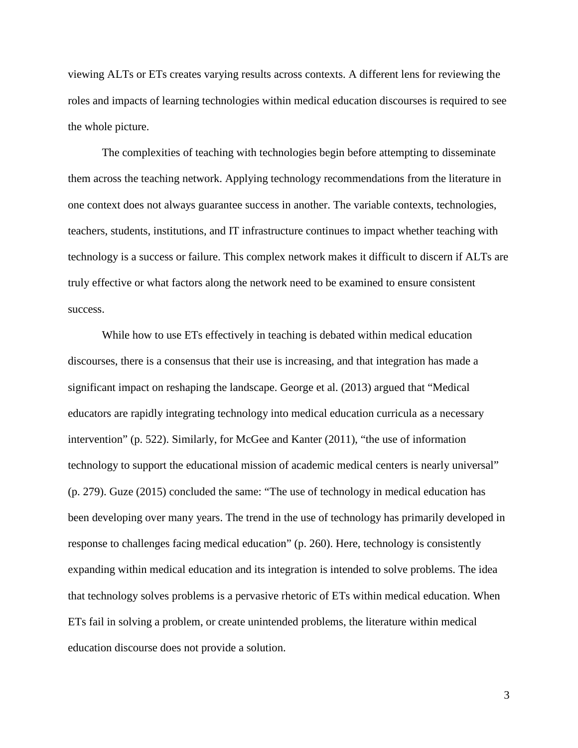viewing ALTs or ETs creates varying results across contexts. A different lens for reviewing the roles and impacts of learning technologies within medical education discourses is required to see the whole picture.

The complexities of teaching with technologies begin before attempting to disseminate them across the teaching network. Applying technology recommendations from the literature in one context does not always guarantee success in another. The variable contexts, technologies, teachers, students, institutions, and IT infrastructure continues to impact whether teaching with technology is a success or failure. This complex network makes it difficult to discern if ALTs are truly effective or what factors along the network need to be examined to ensure consistent success.

While how to use ETs effectively in teaching is debated within medical education discourses, there is a consensus that their use is increasing, and that integration has made a significant impact on reshaping the landscape. George et al. (2013) argued that "Medical educators are rapidly integrating technology into medical education curricula as a necessary intervention" (p. 522). Similarly, for McGee and Kanter (2011), "the use of information technology to support the educational mission of academic medical centers is nearly universal" (p. 279). Guze (2015) concluded the same: "The use of technology in medical education has been developing over many years. The trend in the use of technology has primarily developed in response to challenges facing medical education" (p. 260). Here, technology is consistently expanding within medical education and its integration is intended to solve problems. The idea that technology solves problems is a pervasive rhetoric of ETs within medical education. When ETs fail in solving a problem, or create unintended problems, the literature within medical education discourse does not provide a solution.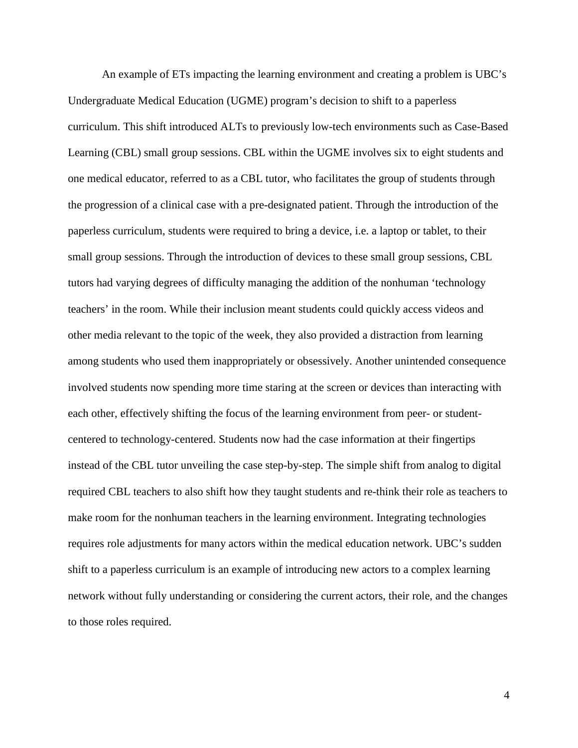An example of ETs impacting the learning environment and creating a problem is UBC's Undergraduate Medical Education (UGME) program's decision to shift to a paperless curriculum. This shift introduced ALTs to previously low-tech environments such as Case-Based Learning (CBL) small group sessions. CBL within the UGME involves six to eight students and one medical educator, referred to as a CBL tutor, who facilitates the group of students through the progression of a clinical case with a pre-designated patient. Through the introduction of the paperless curriculum, students were required to bring a device, i.e. a laptop or tablet, to their small group sessions. Through the introduction of devices to these small group sessions, CBL tutors had varying degrees of difficulty managing the addition of the nonhuman 'technology teachers' in the room. While their inclusion meant students could quickly access videos and other media relevant to the topic of the week, they also provided a distraction from learning among students who used them inappropriately or obsessively. Another unintended consequence involved students now spending more time staring at the screen or devices than interacting with each other, effectively shifting the focus of the learning environment from peer- or studentcentered to technology-centered. Students now had the case information at their fingertips instead of the CBL tutor unveiling the case step-by-step. The simple shift from analog to digital required CBL teachers to also shift how they taught students and re-think their role as teachers to make room for the nonhuman teachers in the learning environment. Integrating technologies requires role adjustments for many actors within the medical education network. UBC's sudden shift to a paperless curriculum is an example of introducing new actors to a complex learning network without fully understanding or considering the current actors, their role, and the changes to those roles required.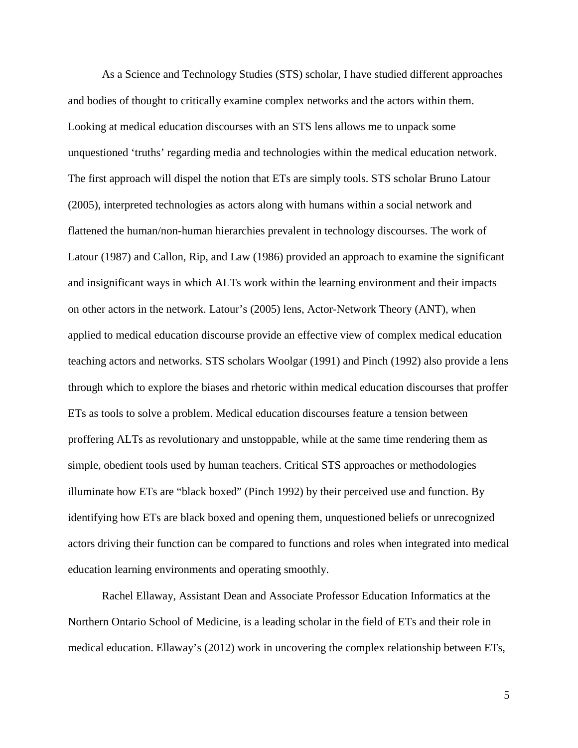As a Science and Technology Studies (STS) scholar, I have studied different approaches and bodies of thought to critically examine complex networks and the actors within them. Looking at medical education discourses with an STS lens allows me to unpack some unquestioned 'truths' regarding media and technologies within the medical education network. The first approach will dispel the notion that ETs are simply tools. STS scholar Bruno Latour (2005), interpreted technologies as actors along with humans within a social network and flattened the human/non-human hierarchies prevalent in technology discourses. The work of Latour (1987) and Callon, Rip, and Law (1986) provided an approach to examine the significant and insignificant ways in which ALTs work within the learning environment and their impacts on other actors in the network. Latour's (2005) lens, Actor-Network Theory (ANT), when applied to medical education discourse provide an effective view of complex medical education teaching actors and networks. STS scholars Woolgar (1991) and Pinch (1992) also provide a lens through which to explore the biases and rhetoric within medical education discourses that proffer ETs as tools to solve a problem. Medical education discourses feature a tension between proffering ALTs as revolutionary and unstoppable, while at the same time rendering them as simple, obedient tools used by human teachers. Critical STS approaches or methodologies illuminate how ETs are "black boxed" (Pinch 1992) by their perceived use and function. By identifying how ETs are black boxed and opening them, unquestioned beliefs or unrecognized actors driving their function can be compared to functions and roles when integrated into medical education learning environments and operating smoothly.

Rachel Ellaway, Assistant Dean and Associate Professor Education Informatics at the Northern Ontario School of Medicine, is a leading scholar in the field of ETs and their role in medical education. Ellaway's (2012) work in uncovering the complex relationship between ETs,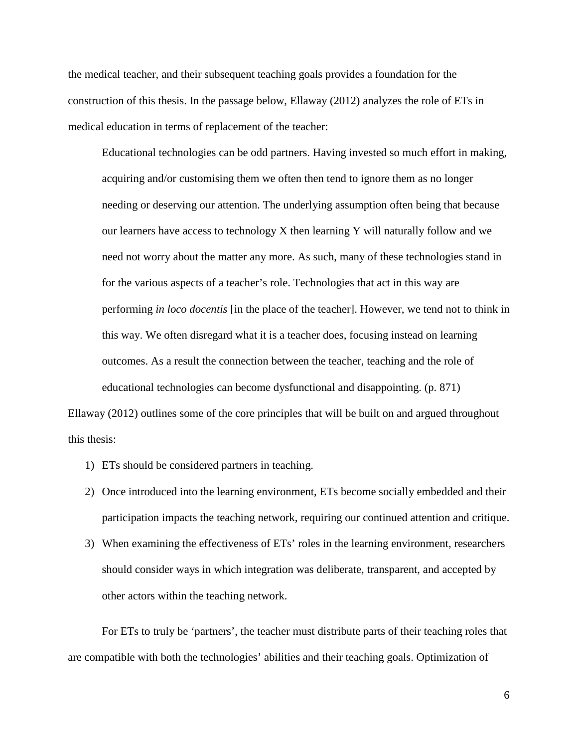the medical teacher, and their subsequent teaching goals provides a foundation for the construction of this thesis. In the passage below, Ellaway (2012) analyzes the role of ETs in medical education in terms of replacement of the teacher:

Educational technologies can be odd partners. Having invested so much effort in making, acquiring and/or customising them we often then tend to ignore them as no longer needing or deserving our attention. The underlying assumption often being that because our learners have access to technology X then learning Y will naturally follow and we need not worry about the matter any more. As such, many of these technologies stand in for the various aspects of a teacher's role. Technologies that act in this way are performing *in loco docentis* [in the place of the teacher]. However, we tend not to think in this way. We often disregard what it is a teacher does, focusing instead on learning outcomes. As a result the connection between the teacher, teaching and the role of educational technologies can become dysfunctional and disappointing. (p. 871) Ellaway (2012) outlines some of the core principles that will be built on and argued throughout

this thesis:

- 1) ETs should be considered partners in teaching.
- 2) Once introduced into the learning environment, ETs become socially embedded and their participation impacts the teaching network, requiring our continued attention and critique.
- 3) When examining the effectiveness of ETs' roles in the learning environment, researchers should consider ways in which integration was deliberate, transparent, and accepted by other actors within the teaching network.

For ETs to truly be 'partners', the teacher must distribute parts of their teaching roles that are compatible with both the technologies' abilities and their teaching goals. Optimization of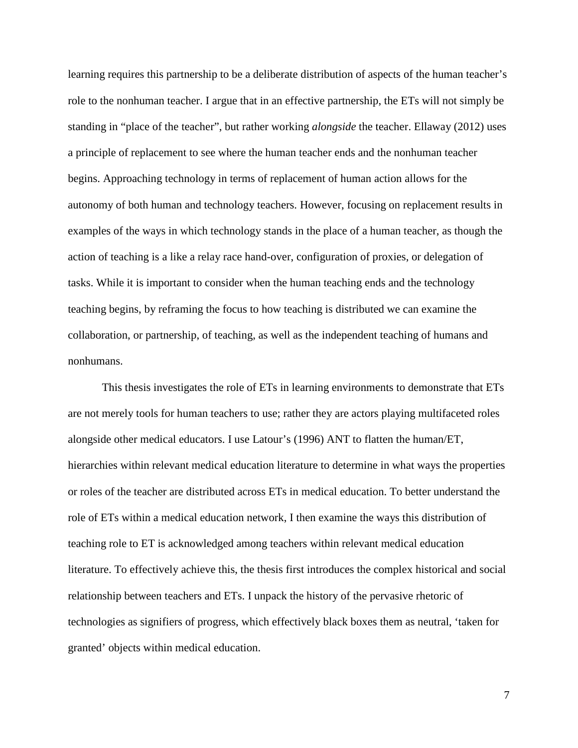learning requires this partnership to be a deliberate distribution of aspects of the human teacher's role to the nonhuman teacher. I argue that in an effective partnership, the ETs will not simply be standing in "place of the teacher", but rather working *alongside* the teacher. Ellaway (2012) uses a principle of replacement to see where the human teacher ends and the nonhuman teacher begins. Approaching technology in terms of replacement of human action allows for the autonomy of both human and technology teachers. However, focusing on replacement results in examples of the ways in which technology stands in the place of a human teacher, as though the action of teaching is a like a relay race hand-over, configuration of proxies, or delegation of tasks. While it is important to consider when the human teaching ends and the technology teaching begins, by reframing the focus to how teaching is distributed we can examine the collaboration, or partnership, of teaching, as well as the independent teaching of humans and nonhumans.

This thesis investigates the role of ETs in learning environments to demonstrate that ETs are not merely tools for human teachers to use; rather they are actors playing multifaceted roles alongside other medical educators. I use Latour's (1996) ANT to flatten the human/ET, hierarchies within relevant medical education literature to determine in what ways the properties or roles of the teacher are distributed across ETs in medical education. To better understand the role of ETs within a medical education network, I then examine the ways this distribution of teaching role to ET is acknowledged among teachers within relevant medical education literature. To effectively achieve this, the thesis first introduces the complex historical and social relationship between teachers and ETs. I unpack the history of the pervasive rhetoric of technologies as signifiers of progress, which effectively black boxes them as neutral, 'taken for granted' objects within medical education.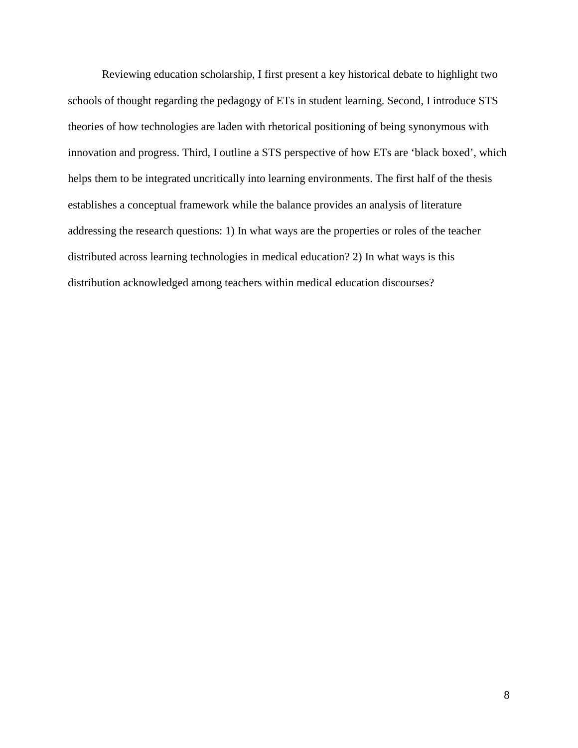Reviewing education scholarship, I first present a key historical debate to highlight two schools of thought regarding the pedagogy of ETs in student learning. Second, I introduce STS theories of how technologies are laden with rhetorical positioning of being synonymous with innovation and progress. Third, I outline a STS perspective of how ETs are 'black boxed', which helps them to be integrated uncritically into learning environments. The first half of the thesis establishes a conceptual framework while the balance provides an analysis of literature addressing the research questions: 1) In what ways are the properties or roles of the teacher distributed across learning technologies in medical education? 2) In what ways is this distribution acknowledged among teachers within medical education discourses?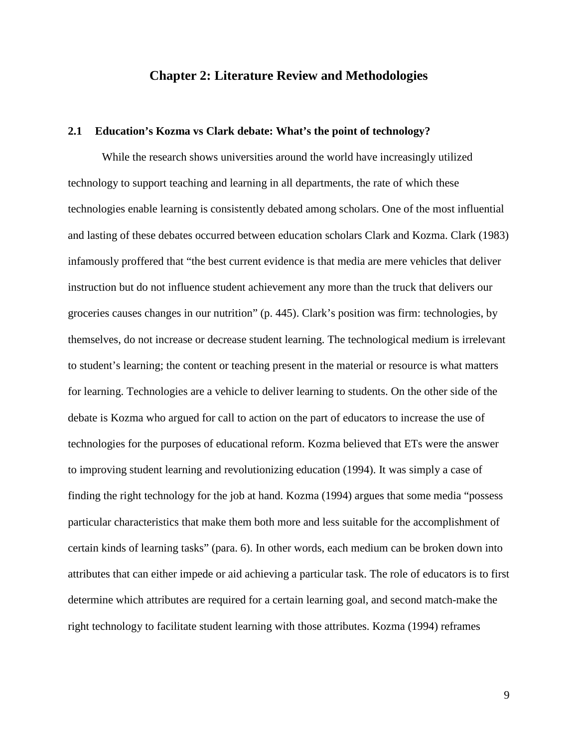## **Chapter 2: Literature Review and Methodologies**

#### **2.1 Education's Kozma vs Clark debate: What's the point of technology?**

While the research shows universities around the world have increasingly utilized technology to support teaching and learning in all departments, the rate of which these technologies enable learning is consistently debated among scholars. One of the most influential and lasting of these debates occurred between education scholars Clark and Kozma. Clark (1983) infamously proffered that "the best current evidence is that media are mere vehicles that deliver instruction but do not influence student achievement any more than the truck that delivers our groceries causes changes in our nutrition" (p. 445). Clark's position was firm: technologies, by themselves, do not increase or decrease student learning. The technological medium is irrelevant to student's learning; the content or teaching present in the material or resource is what matters for learning. Technologies are a vehicle to deliver learning to students. On the other side of the debate is Kozma who argued for call to action on the part of educators to increase the use of technologies for the purposes of educational reform. Kozma believed that ETs were the answer to improving student learning and revolutionizing education (1994). It was simply a case of finding the right technology for the job at hand. Kozma (1994) argues that some media "possess particular characteristics that make them both more and less suitable for the accomplishment of certain kinds of learning tasks" (para. 6). In other words, each medium can be broken down into attributes that can either impede or aid achieving a particular task. The role of educators is to first determine which attributes are required for a certain learning goal, and second match-make the right technology to facilitate student learning with those attributes. Kozma (1994) reframes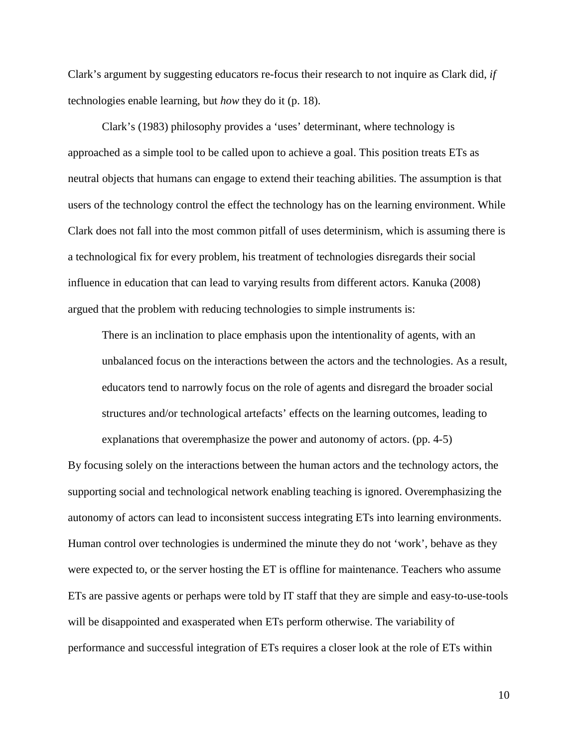Clark's argument by suggesting educators re-focus their research to not inquire as Clark did, *if*  technologies enable learning, but *how* they do it (p. 18).

Clark's (1983) philosophy provides a 'uses' determinant, where technology is approached as a simple tool to be called upon to achieve a goal. This position treats ETs as neutral objects that humans can engage to extend their teaching abilities. The assumption is that users of the technology control the effect the technology has on the learning environment. While Clark does not fall into the most common pitfall of uses determinism, which is assuming there is a technological fix for every problem, his treatment of technologies disregards their social influence in education that can lead to varying results from different actors. Kanuka (2008) argued that the problem with reducing technologies to simple instruments is:

There is an inclination to place emphasis upon the intentionality of agents, with an unbalanced focus on the interactions between the actors and the technologies. As a result, educators tend to narrowly focus on the role of agents and disregard the broader social structures and/or technological artefacts' effects on the learning outcomes, leading to

explanations that overemphasize the power and autonomy of actors. (pp. 4-5) By focusing solely on the interactions between the human actors and the technology actors, the supporting social and technological network enabling teaching is ignored. Overemphasizing the autonomy of actors can lead to inconsistent success integrating ETs into learning environments. Human control over technologies is undermined the minute they do not 'work', behave as they were expected to, or the server hosting the ET is offline for maintenance. Teachers who assume ETs are passive agents or perhaps were told by IT staff that they are simple and easy-to-use-tools will be disappointed and exasperated when ETs perform otherwise. The variability of performance and successful integration of ETs requires a closer look at the role of ETs within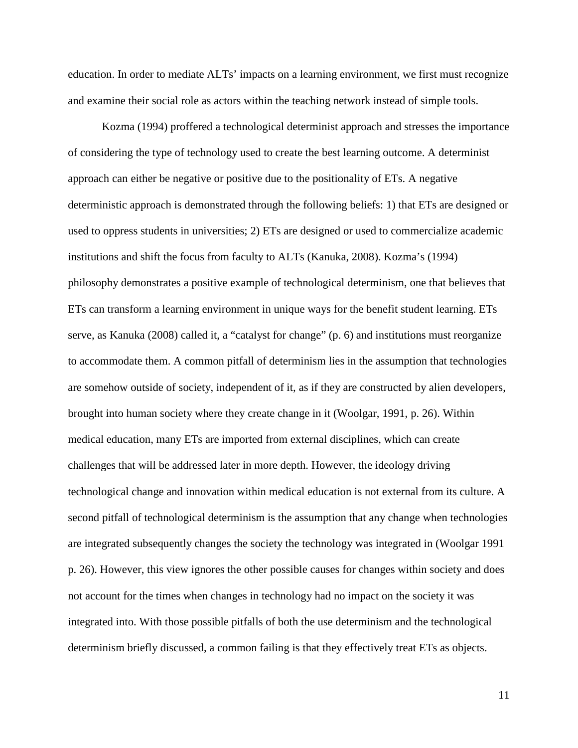education. In order to mediate ALTs' impacts on a learning environment, we first must recognize and examine their social role as actors within the teaching network instead of simple tools.

Kozma (1994) proffered a technological determinist approach and stresses the importance of considering the type of technology used to create the best learning outcome. A determinist approach can either be negative or positive due to the positionality of ETs. A negative deterministic approach is demonstrated through the following beliefs: 1) that ETs are designed or used to oppress students in universities; 2) ETs are designed or used to commercialize academic institutions and shift the focus from faculty to ALTs (Kanuka, 2008). Kozma's (1994) philosophy demonstrates a positive example of technological determinism, one that believes that ETs can transform a learning environment in unique ways for the benefit student learning. ETs serve, as Kanuka (2008) called it, a "catalyst for change" (p. 6) and institutions must reorganize to accommodate them. A common pitfall of determinism lies in the assumption that technologies are somehow outside of society, independent of it, as if they are constructed by alien developers, brought into human society where they create change in it (Woolgar, 1991, p. 26). Within medical education, many ETs are imported from external disciplines, which can create challenges that will be addressed later in more depth. However, the ideology driving technological change and innovation within medical education is not external from its culture. A second pitfall of technological determinism is the assumption that any change when technologies are integrated subsequently changes the society the technology was integrated in (Woolgar 1991 p. 26). However, this view ignores the other possible causes for changes within society and does not account for the times when changes in technology had no impact on the society it was integrated into. With those possible pitfalls of both the use determinism and the technological determinism briefly discussed, a common failing is that they effectively treat ETs as objects.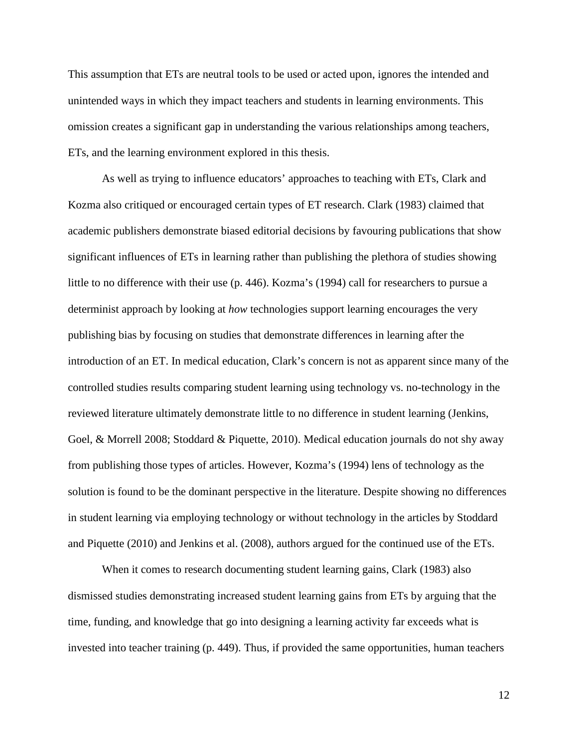This assumption that ETs are neutral tools to be used or acted upon, ignores the intended and unintended ways in which they impact teachers and students in learning environments. This omission creates a significant gap in understanding the various relationships among teachers, ETs, and the learning environment explored in this thesis.

As well as trying to influence educators' approaches to teaching with ETs, Clark and Kozma also critiqued or encouraged certain types of ET research. Clark (1983) claimed that academic publishers demonstrate biased editorial decisions by favouring publications that show significant influences of ETs in learning rather than publishing the plethora of studies showing little to no difference with their use (p. 446). Kozma's (1994) call for researchers to pursue a determinist approach by looking at *how* technologies support learning encourages the very publishing bias by focusing on studies that demonstrate differences in learning after the introduction of an ET. In medical education, Clark's concern is not as apparent since many of the controlled studies results comparing student learning using technology vs. no-technology in the reviewed literature ultimately demonstrate little to no difference in student learning (Jenkins, Goel, & Morrell 2008; Stoddard & Piquette, 2010). Medical education journals do not shy away from publishing those types of articles. However, Kozma's (1994) lens of technology as the solution is found to be the dominant perspective in the literature. Despite showing no differences in student learning via employing technology or without technology in the articles by Stoddard and Piquette (2010) and Jenkins et al. (2008), authors argued for the continued use of the ETs.

When it comes to research documenting student learning gains, Clark (1983) also dismissed studies demonstrating increased student learning gains from ETs by arguing that the time, funding, and knowledge that go into designing a learning activity far exceeds what is invested into teacher training (p. 449). Thus, if provided the same opportunities, human teachers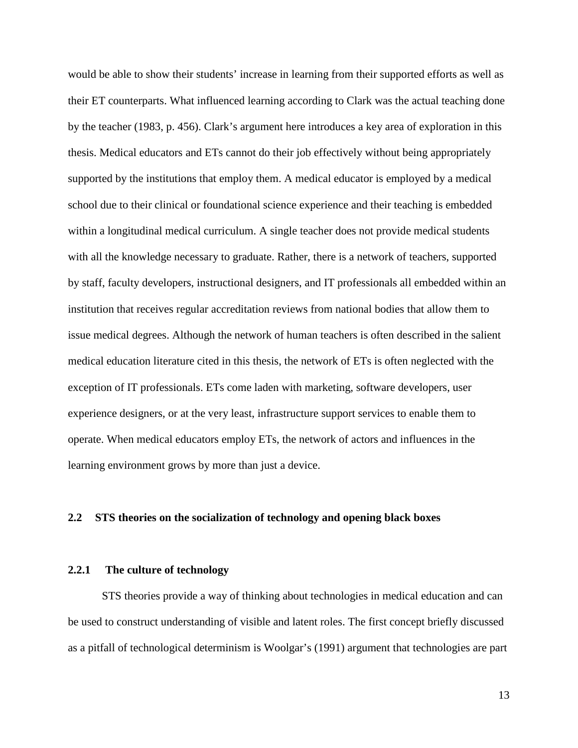would be able to show their students' increase in learning from their supported efforts as well as their ET counterparts. What influenced learning according to Clark was the actual teaching done by the teacher (1983, p. 456). Clark's argument here introduces a key area of exploration in this thesis. Medical educators and ETs cannot do their job effectively without being appropriately supported by the institutions that employ them. A medical educator is employed by a medical school due to their clinical or foundational science experience and their teaching is embedded within a longitudinal medical curriculum. A single teacher does not provide medical students with all the knowledge necessary to graduate. Rather, there is a network of teachers, supported by staff, faculty developers, instructional designers, and IT professionals all embedded within an institution that receives regular accreditation reviews from national bodies that allow them to issue medical degrees. Although the network of human teachers is often described in the salient medical education literature cited in this thesis, the network of ETs is often neglected with the exception of IT professionals. ETs come laden with marketing, software developers, user experience designers, or at the very least, infrastructure support services to enable them to operate. When medical educators employ ETs, the network of actors and influences in the learning environment grows by more than just a device.

## **2.2 STS theories on the socialization of technology and opening black boxes**

### **2.2.1 The culture of technology**

STS theories provide a way of thinking about technologies in medical education and can be used to construct understanding of visible and latent roles. The first concept briefly discussed as a pitfall of technological determinism is Woolgar's (1991) argument that technologies are part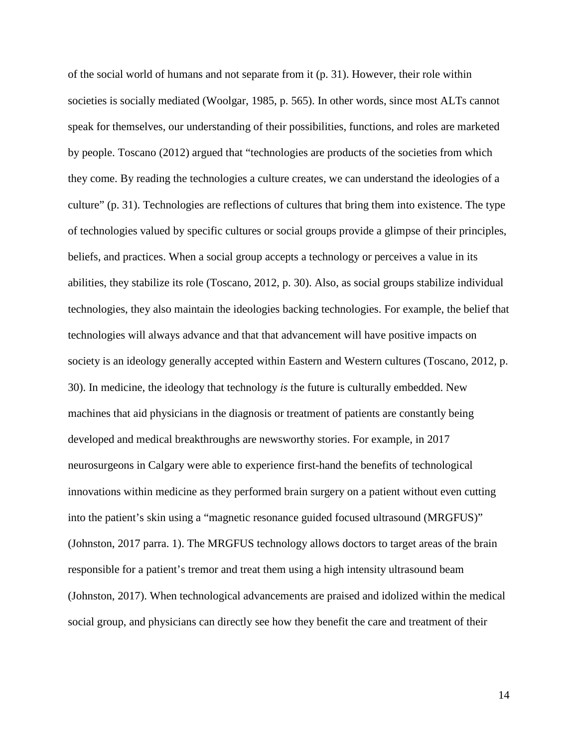of the social world of humans and not separate from it (p. 31). However, their role within societies is socially mediated (Woolgar, 1985, p. 565). In other words, since most ALTs cannot speak for themselves, our understanding of their possibilities, functions, and roles are marketed by people. Toscano (2012) argued that "technologies are products of the societies from which they come. By reading the technologies a culture creates, we can understand the ideologies of a culture" (p. 31). Technologies are reflections of cultures that bring them into existence. The type of technologies valued by specific cultures or social groups provide a glimpse of their principles, beliefs, and practices. When a social group accepts a technology or perceives a value in its abilities, they stabilize its role (Toscano, 2012, p. 30). Also, as social groups stabilize individual technologies, they also maintain the ideologies backing technologies. For example, the belief that technologies will always advance and that that advancement will have positive impacts on society is an ideology generally accepted within Eastern and Western cultures (Toscano, 2012, p. 30). In medicine, the ideology that technology *is* the future is culturally embedded. New machines that aid physicians in the diagnosis or treatment of patients are constantly being developed and medical breakthroughs are newsworthy stories. For example, in 2017 neurosurgeons in Calgary were able to experience first-hand the benefits of technological innovations within medicine as they performed brain surgery on a patient without even cutting into the patient's skin using a "magnetic resonance guided focused ultrasound (MRGFUS)" (Johnston, 2017 parra. 1). The MRGFUS technology allows doctors to target areas of the brain responsible for a patient's tremor and treat them using a high intensity ultrasound beam (Johnston, 2017). When technological advancements are praised and idolized within the medical social group, and physicians can directly see how they benefit the care and treatment of their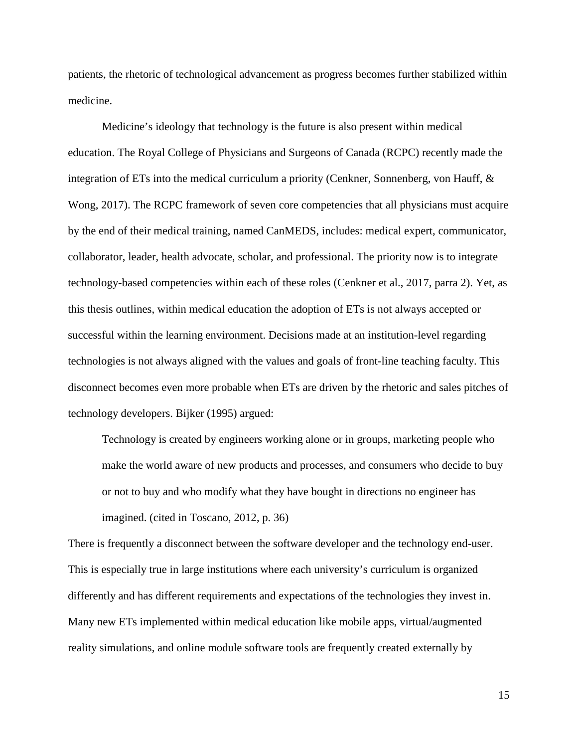patients, the rhetoric of technological advancement as progress becomes further stabilized within medicine.

Medicine's ideology that technology is the future is also present within medical education. The Royal College of Physicians and Surgeons of Canada (RCPC) recently made the integration of ETs into the medical curriculum a priority (Cenkner, Sonnenberg, von Hauff, & Wong, 2017). The RCPC framework of seven core competencies that all physicians must acquire by the end of their medical training, named CanMEDS, includes: medical expert, communicator, collaborator, leader, health advocate, scholar, and professional. The priority now is to integrate technology-based competencies within each of these roles (Cenkner et al., 2017, parra 2). Yet, as this thesis outlines, within medical education the adoption of ETs is not always accepted or successful within the learning environment. Decisions made at an institution-level regarding technologies is not always aligned with the values and goals of front-line teaching faculty. This disconnect becomes even more probable when ETs are driven by the rhetoric and sales pitches of technology developers. Bijker (1995) argued:

Technology is created by engineers working alone or in groups, marketing people who make the world aware of new products and processes, and consumers who decide to buy or not to buy and who modify what they have bought in directions no engineer has imagined. (cited in Toscano, 2012, p. 36)

There is frequently a disconnect between the software developer and the technology end-user. This is especially true in large institutions where each university's curriculum is organized differently and has different requirements and expectations of the technologies they invest in. Many new ETs implemented within medical education like mobile apps, virtual/augmented reality simulations, and online module software tools are frequently created externally by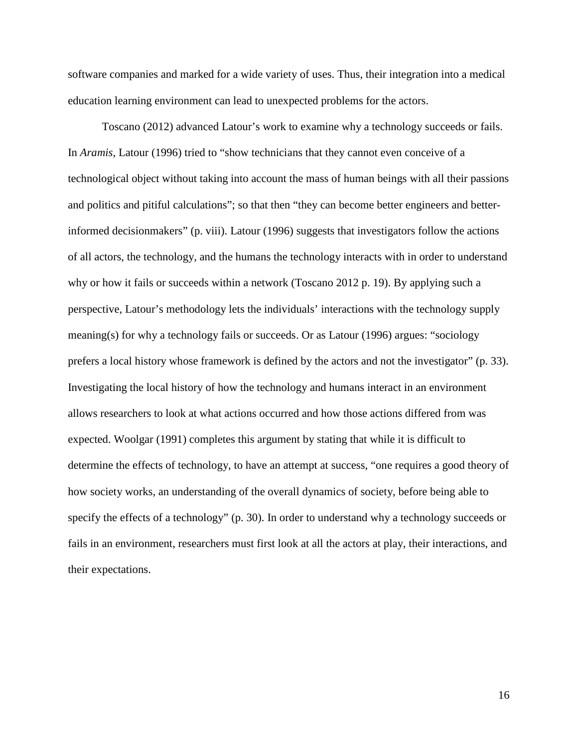software companies and marked for a wide variety of uses. Thus, their integration into a medical education learning environment can lead to unexpected problems for the actors.

Toscano (2012) advanced Latour's work to examine why a technology succeeds or fails. In *Aramis*, Latour (1996) tried to "show technicians that they cannot even conceive of a technological object without taking into account the mass of human beings with all their passions and politics and pitiful calculations"; so that then "they can become better engineers and betterinformed decisionmakers" (p. viii). Latour (1996) suggests that investigators follow the actions of all actors, the technology, and the humans the technology interacts with in order to understand why or how it fails or succeeds within a network (Toscano 2012 p. 19). By applying such a perspective, Latour's methodology lets the individuals' interactions with the technology supply meaning(s) for why a technology fails or succeeds. Or as Latour (1996) argues: "sociology prefers a local history whose framework is defined by the actors and not the investigator" (p. 33). Investigating the local history of how the technology and humans interact in an environment allows researchers to look at what actions occurred and how those actions differed from was expected. Woolgar (1991) completes this argument by stating that while it is difficult to determine the effects of technology, to have an attempt at success, "one requires a good theory of how society works, an understanding of the overall dynamics of society, before being able to specify the effects of a technology" (p. 30). In order to understand why a technology succeeds or fails in an environment, researchers must first look at all the actors at play, their interactions, and their expectations.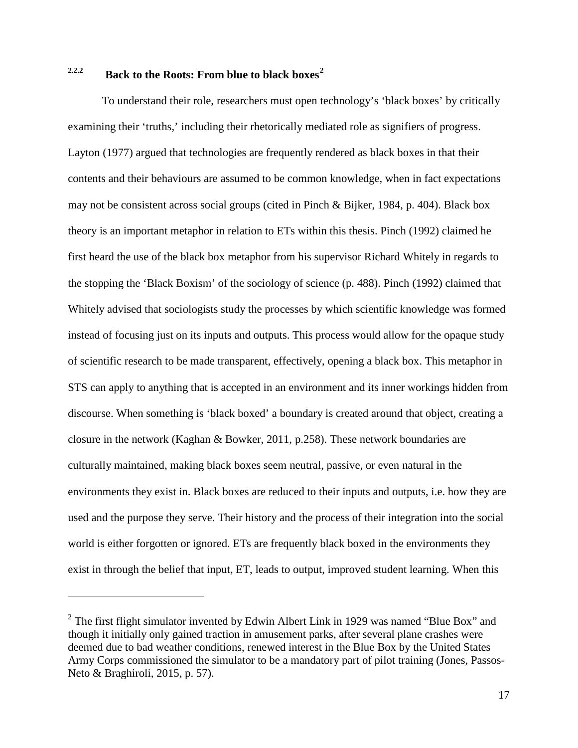# **2.2.2 Back to the Roots: From blue to black boxes[2](#page-27-0)**

To understand their role, researchers must open technology's 'black boxes' by critically examining their 'truths,' including their rhetorically mediated role as signifiers of progress. Layton (1977) argued that technologies are frequently rendered as black boxes in that their contents and their behaviours are assumed to be common knowledge, when in fact expectations may not be consistent across social groups (cited in Pinch & Bijker, 1984, p. 404). Black box theory is an important metaphor in relation to ETs within this thesis. Pinch (1992) claimed he first heard the use of the black box metaphor from his supervisor Richard Whitely in regards to the stopping the 'Black Boxism' of the sociology of science (p. 488). Pinch (1992) claimed that Whitely advised that sociologists study the processes by which scientific knowledge was formed instead of focusing just on its inputs and outputs. This process would allow for the opaque study of scientific research to be made transparent, effectively, opening a black box. This metaphor in STS can apply to anything that is accepted in an environment and its inner workings hidden from discourse. When something is 'black boxed' a boundary is created around that object, creating a closure in the network (Kaghan & Bowker, 2011, p.258). These network boundaries are culturally maintained, making black boxes seem neutral, passive, or even natural in the environments they exist in. Black boxes are reduced to their inputs and outputs, i.e. how they are used and the purpose they serve. Their history and the process of their integration into the social world is either forgotten or ignored. ETs are frequently black boxed in the environments they exist in through the belief that input, ET, leads to output, improved student learning. When this

 $\overline{a}$ 

<span id="page-27-0"></span> $2$  The first flight simulator invented by Edwin Albert Link in 1929 was named "Blue Box" and though it initially only gained traction in amusement parks, after several plane crashes were deemed due to bad weather conditions, renewed interest in the Blue Box by the United States Army Corps commissioned the simulator to be a mandatory part of pilot training (Jones, Passos-Neto & Braghiroli, 2015, p. 57).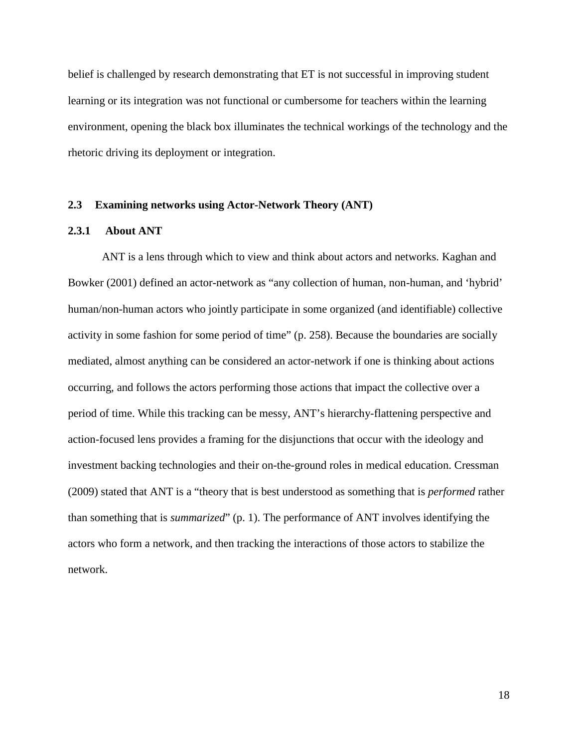belief is challenged by research demonstrating that ET is not successful in improving student learning or its integration was not functional or cumbersome for teachers within the learning environment, opening the black box illuminates the technical workings of the technology and the rhetoric driving its deployment or integration.

#### **2.3 Examining networks using Actor-Network Theory (ANT)**

## **2.3.1 About ANT**

ANT is a lens through which to view and think about actors and networks. Kaghan and Bowker (2001) defined an actor-network as "any collection of human, non-human, and 'hybrid' human/non-human actors who jointly participate in some organized (and identifiable) collective activity in some fashion for some period of time" (p. 258). Because the boundaries are socially mediated, almost anything can be considered an actor-network if one is thinking about actions occurring, and follows the actors performing those actions that impact the collective over a period of time. While this tracking can be messy, ANT's hierarchy-flattening perspective and action-focused lens provides a framing for the disjunctions that occur with the ideology and investment backing technologies and their on-the-ground roles in medical education. Cressman (2009) stated that ANT is a "theory that is best understood as something that is *performed* rather than something that is *summarized*" (p. 1). The performance of ANT involves identifying the actors who form a network, and then tracking the interactions of those actors to stabilize the network.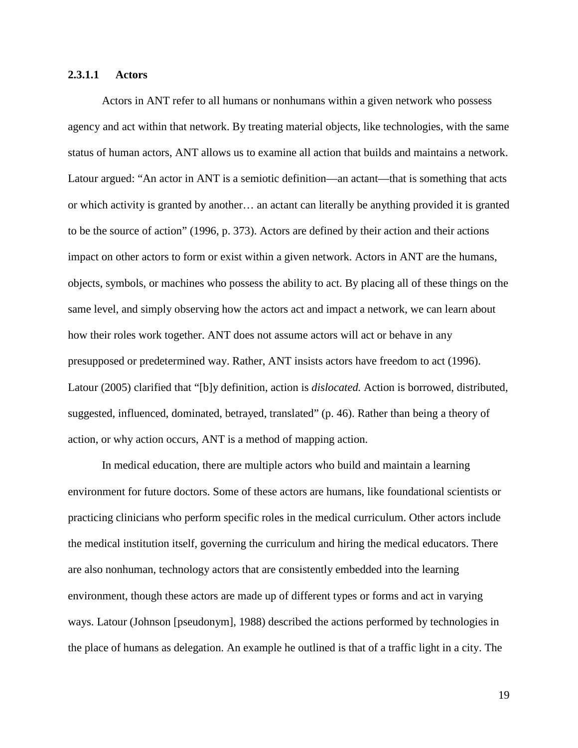#### **2.3.1.1 Actors**

Actors in ANT refer to all humans or nonhumans within a given network who possess agency and act within that network. By treating material objects, like technologies, with the same status of human actors, ANT allows us to examine all action that builds and maintains a network. Latour argued: "An actor in ANT is a semiotic definition—an actant—that is something that acts or which activity is granted by another… an actant can literally be anything provided it is granted to be the source of action" (1996, p. 373). Actors are defined by their action and their actions impact on other actors to form or exist within a given network. Actors in ANT are the humans, objects, symbols, or machines who possess the ability to act. By placing all of these things on the same level, and simply observing how the actors act and impact a network, we can learn about how their roles work together. ANT does not assume actors will act or behave in any presupposed or predetermined way. Rather, ANT insists actors have freedom to act (1996). Latour (2005) clarified that "[b]y definition, action is *dislocated.* Action is borrowed, distributed, suggested, influenced, dominated, betrayed, translated" (p. 46). Rather than being a theory of action, or why action occurs, ANT is a method of mapping action.

In medical education, there are multiple actors who build and maintain a learning environment for future doctors. Some of these actors are humans, like foundational scientists or practicing clinicians who perform specific roles in the medical curriculum. Other actors include the medical institution itself, governing the curriculum and hiring the medical educators. There are also nonhuman, technology actors that are consistently embedded into the learning environment, though these actors are made up of different types or forms and act in varying ways. Latour (Johnson [pseudonym], 1988) described the actions performed by technologies in the place of humans as delegation. An example he outlined is that of a traffic light in a city. The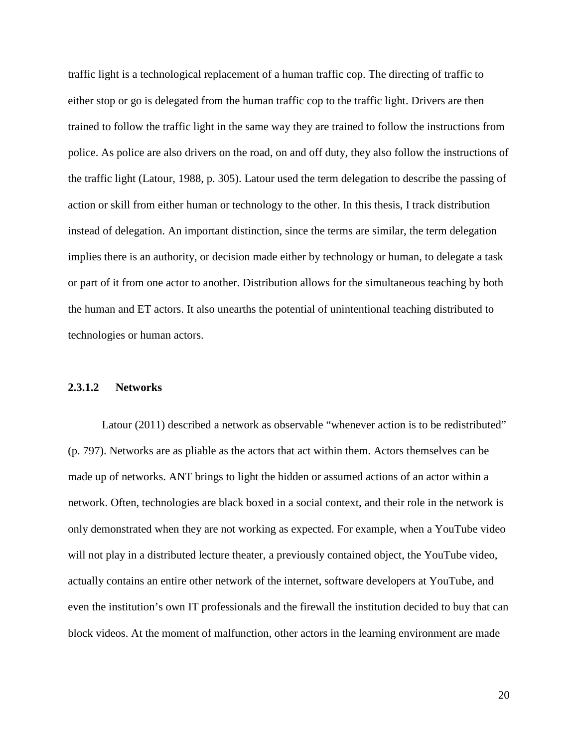traffic light is a technological replacement of a human traffic cop. The directing of traffic to either stop or go is delegated from the human traffic cop to the traffic light. Drivers are then trained to follow the traffic light in the same way they are trained to follow the instructions from police. As police are also drivers on the road, on and off duty, they also follow the instructions of the traffic light (Latour, 1988, p. 305). Latour used the term delegation to describe the passing of action or skill from either human or technology to the other. In this thesis, I track distribution instead of delegation. An important distinction, since the terms are similar, the term delegation implies there is an authority, or decision made either by technology or human, to delegate a task or part of it from one actor to another. Distribution allows for the simultaneous teaching by both the human and ET actors. It also unearths the potential of unintentional teaching distributed to technologies or human actors.

#### **2.3.1.2 Networks**

Latour (2011) described a network as observable "whenever action is to be redistributed" (p. 797). Networks are as pliable as the actors that act within them. Actors themselves can be made up of networks. ANT brings to light the hidden or assumed actions of an actor within a network. Often, technologies are black boxed in a social context, and their role in the network is only demonstrated when they are not working as expected. For example, when a YouTube video will not play in a distributed lecture theater, a previously contained object, the YouTube video, actually contains an entire other network of the internet, software developers at YouTube, and even the institution's own IT professionals and the firewall the institution decided to buy that can block videos. At the moment of malfunction, other actors in the learning environment are made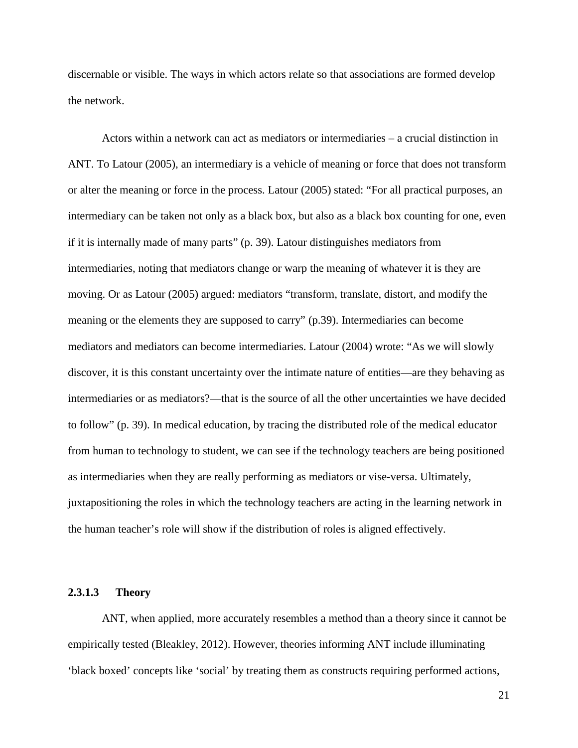discernable or visible. The ways in which actors relate so that associations are formed develop the network.

Actors within a network can act as mediators or intermediaries – a crucial distinction in ANT. To Latour (2005), an intermediary is a vehicle of meaning or force that does not transform or alter the meaning or force in the process. Latour (2005) stated: "For all practical purposes, an intermediary can be taken not only as a black box, but also as a black box counting for one, even if it is internally made of many parts" (p. 39). Latour distinguishes mediators from intermediaries, noting that mediators change or warp the meaning of whatever it is they are moving. Or as Latour (2005) argued: mediators "transform, translate, distort, and modify the meaning or the elements they are supposed to carry" (p.39). Intermediaries can become mediators and mediators can become intermediaries. Latour (2004) wrote: "As we will slowly discover, it is this constant uncertainty over the intimate nature of entities—are they behaving as intermediaries or as mediators?—that is the source of all the other uncertainties we have decided to follow" (p. 39). In medical education, by tracing the distributed role of the medical educator from human to technology to student, we can see if the technology teachers are being positioned as intermediaries when they are really performing as mediators or vise-versa. Ultimately, juxtapositioning the roles in which the technology teachers are acting in the learning network in the human teacher's role will show if the distribution of roles is aligned effectively.

## **2.3.1.3 Theory**

ANT, when applied, more accurately resembles a method than a theory since it cannot be empirically tested (Bleakley, 2012). However, theories informing ANT include illuminating 'black boxed' concepts like 'social' by treating them as constructs requiring performed actions,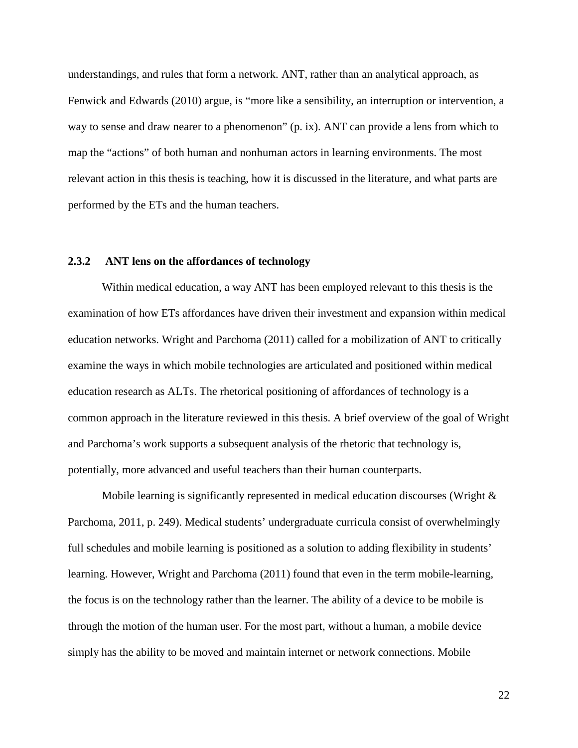understandings, and rules that form a network. ANT, rather than an analytical approach, as Fenwick and Edwards (2010) argue, is "more like a sensibility, an interruption or intervention, a way to sense and draw nearer to a phenomenon" (p. ix). ANT can provide a lens from which to map the "actions" of both human and nonhuman actors in learning environments. The most relevant action in this thesis is teaching, how it is discussed in the literature, and what parts are performed by the ETs and the human teachers.

#### **2.3.2 ANT lens on the affordances of technology**

Within medical education, a way ANT has been employed relevant to this thesis is the examination of how ETs affordances have driven their investment and expansion within medical education networks. Wright and Parchoma (2011) called for a mobilization of ANT to critically examine the ways in which mobile technologies are articulated and positioned within medical education research as ALTs. The rhetorical positioning of affordances of technology is a common approach in the literature reviewed in this thesis. A brief overview of the goal of Wright and Parchoma's work supports a subsequent analysis of the rhetoric that technology is, potentially, more advanced and useful teachers than their human counterparts.

Mobile learning is significantly represented in medical education discourses (Wright  $\&$ Parchoma, 2011, p. 249). Medical students' undergraduate curricula consist of overwhelmingly full schedules and mobile learning is positioned as a solution to adding flexibility in students' learning. However, Wright and Parchoma (2011) found that even in the term mobile-learning, the focus is on the technology rather than the learner. The ability of a device to be mobile is through the motion of the human user. For the most part, without a human, a mobile device simply has the ability to be moved and maintain internet or network connections. Mobile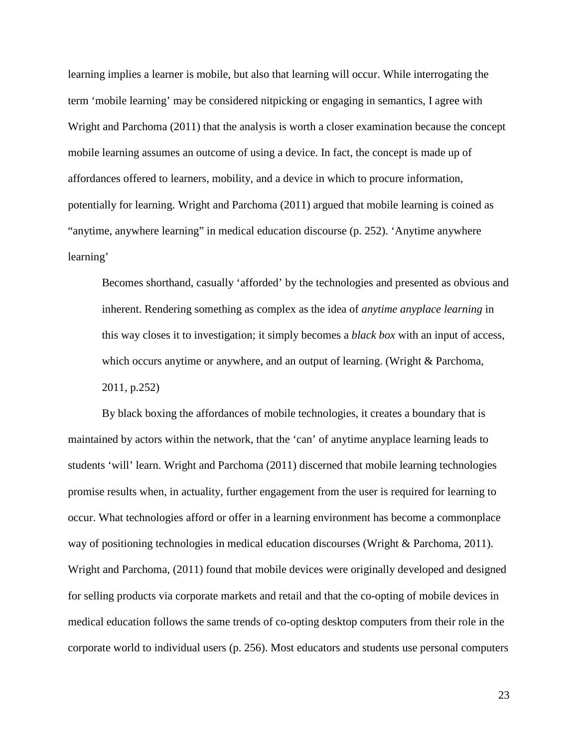learning implies a learner is mobile, but also that learning will occur. While interrogating the term 'mobile learning' may be considered nitpicking or engaging in semantics, I agree with Wright and Parchoma (2011) that the analysis is worth a closer examination because the concept mobile learning assumes an outcome of using a device. In fact, the concept is made up of affordances offered to learners, mobility, and a device in which to procure information, potentially for learning. Wright and Parchoma (2011) argued that mobile learning is coined as "anytime, anywhere learning" in medical education discourse (p. 252). 'Anytime anywhere learning'

Becomes shorthand, casually 'afforded' by the technologies and presented as obvious and inherent. Rendering something as complex as the idea of *anytime anyplace learning* in this way closes it to investigation; it simply becomes a *black box* with an input of access, which occurs anytime or anywhere, and an output of learning. (Wright & Parchoma, 2011, p.252)

By black boxing the affordances of mobile technologies, it creates a boundary that is maintained by actors within the network, that the 'can' of anytime anyplace learning leads to students 'will' learn. Wright and Parchoma (2011) discerned that mobile learning technologies promise results when, in actuality, further engagement from the user is required for learning to occur. What technologies afford or offer in a learning environment has become a commonplace way of positioning technologies in medical education discourses (Wright & Parchoma, 2011). Wright and Parchoma, (2011) found that mobile devices were originally developed and designed for selling products via corporate markets and retail and that the co-opting of mobile devices in medical education follows the same trends of co-opting desktop computers from their role in the corporate world to individual users (p. 256). Most educators and students use personal computers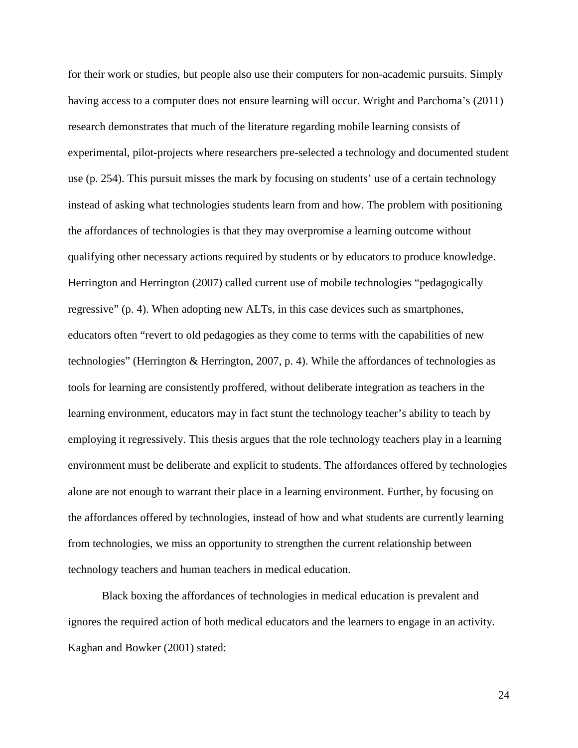for their work or studies, but people also use their computers for non-academic pursuits. Simply having access to a computer does not ensure learning will occur. Wright and Parchoma's (2011) research demonstrates that much of the literature regarding mobile learning consists of experimental, pilot-projects where researchers pre-selected a technology and documented student use (p. 254). This pursuit misses the mark by focusing on students' use of a certain technology instead of asking what technologies students learn from and how. The problem with positioning the affordances of technologies is that they may overpromise a learning outcome without qualifying other necessary actions required by students or by educators to produce knowledge. Herrington and Herrington (2007) called current use of mobile technologies "pedagogically regressive" (p. 4). When adopting new ALTs, in this case devices such as smartphones, educators often "revert to old pedagogies as they come to terms with the capabilities of new technologies" (Herrington & Herrington, 2007, p. 4). While the affordances of technologies as tools for learning are consistently proffered, without deliberate integration as teachers in the learning environment, educators may in fact stunt the technology teacher's ability to teach by employing it regressively. This thesis argues that the role technology teachers play in a learning environment must be deliberate and explicit to students. The affordances offered by technologies alone are not enough to warrant their place in a learning environment. Further, by focusing on the affordances offered by technologies, instead of how and what students are currently learning from technologies, we miss an opportunity to strengthen the current relationship between technology teachers and human teachers in medical education.

Black boxing the affordances of technologies in medical education is prevalent and ignores the required action of both medical educators and the learners to engage in an activity. Kaghan and Bowker (2001) stated: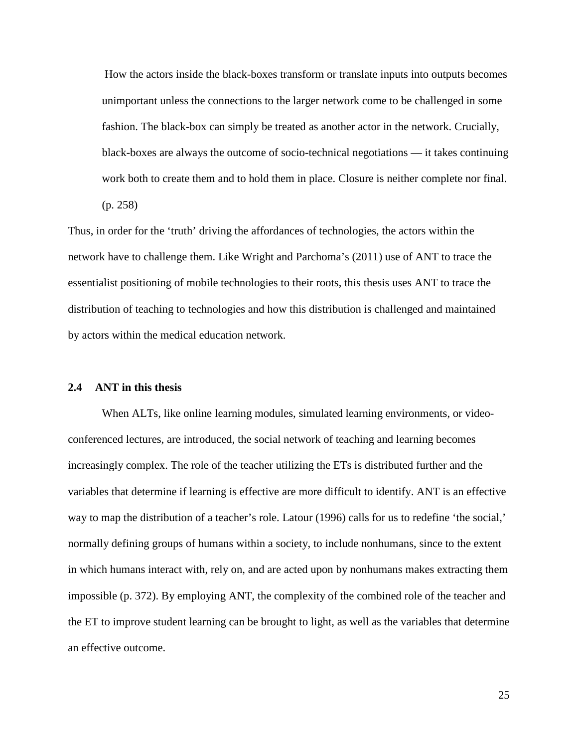How the actors inside the black-boxes transform or translate inputs into outputs becomes unimportant unless the connections to the larger network come to be challenged in some fashion. The black-box can simply be treated as another actor in the network. Crucially, black-boxes are always the outcome of socio-technical negotiations — it takes continuing work both to create them and to hold them in place. Closure is neither complete nor final. (p. 258)

Thus, in order for the 'truth' driving the affordances of technologies, the actors within the network have to challenge them. Like Wright and Parchoma's (2011) use of ANT to trace the essentialist positioning of mobile technologies to their roots, this thesis uses ANT to trace the distribution of teaching to technologies and how this distribution is challenged and maintained by actors within the medical education network.

#### **2.4 ANT in this thesis**

When ALTs, like online learning modules, simulated learning environments, or videoconferenced lectures, are introduced, the social network of teaching and learning becomes increasingly complex. The role of the teacher utilizing the ETs is distributed further and the variables that determine if learning is effective are more difficult to identify. ANT is an effective way to map the distribution of a teacher's role. Latour (1996) calls for us to redefine 'the social,' normally defining groups of humans within a society, to include nonhumans, since to the extent in which humans interact with, rely on, and are acted upon by nonhumans makes extracting them impossible (p. 372). By employing ANT, the complexity of the combined role of the teacher and the ET to improve student learning can be brought to light, as well as the variables that determine an effective outcome.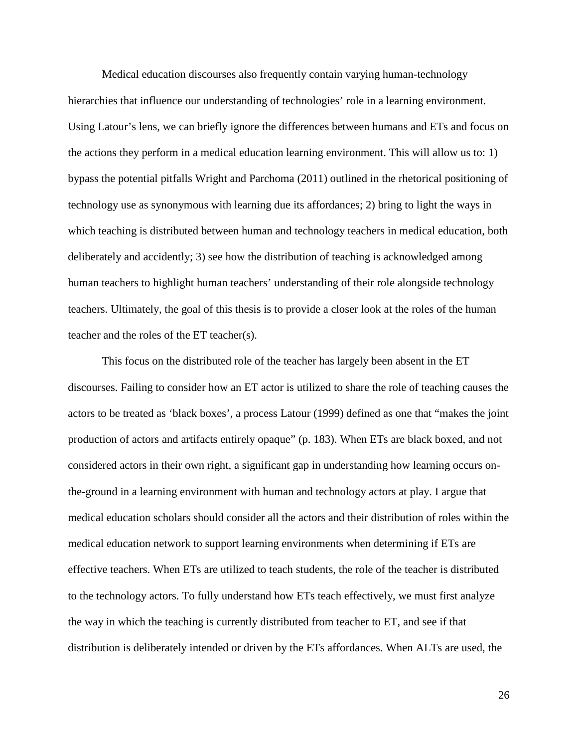Medical education discourses also frequently contain varying human-technology hierarchies that influence our understanding of technologies' role in a learning environment. Using Latour's lens, we can briefly ignore the differences between humans and ETs and focus on the actions they perform in a medical education learning environment. This will allow us to: 1) bypass the potential pitfalls Wright and Parchoma (2011) outlined in the rhetorical positioning of technology use as synonymous with learning due its affordances; 2) bring to light the ways in which teaching is distributed between human and technology teachers in medical education, both deliberately and accidently; 3) see how the distribution of teaching is acknowledged among human teachers to highlight human teachers' understanding of their role alongside technology teachers. Ultimately, the goal of this thesis is to provide a closer look at the roles of the human teacher and the roles of the ET teacher(s).

This focus on the distributed role of the teacher has largely been absent in the ET discourses. Failing to consider how an ET actor is utilized to share the role of teaching causes the actors to be treated as 'black boxes', a process Latour (1999) defined as one that "makes the joint production of actors and artifacts entirely opaque" (p. 183). When ETs are black boxed, and not considered actors in their own right, a significant gap in understanding how learning occurs onthe-ground in a learning environment with human and technology actors at play. I argue that medical education scholars should consider all the actors and their distribution of roles within the medical education network to support learning environments when determining if ETs are effective teachers. When ETs are utilized to teach students, the role of the teacher is distributed to the technology actors. To fully understand how ETs teach effectively, we must first analyze the way in which the teaching is currently distributed from teacher to ET, and see if that distribution is deliberately intended or driven by the ETs affordances. When ALTs are used, the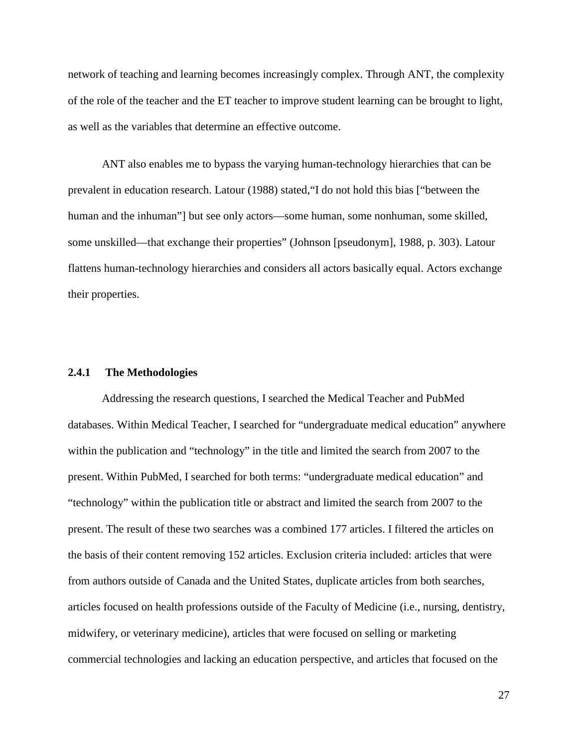network of teaching and learning becomes increasingly complex. Through ANT, the complexity of the role of the teacher and the ET teacher to improve student learning can be brought to light, as well as the variables that determine an effective outcome.

ANT also enables me to bypass the varying human-technology hierarchies that can be prevalent in education research. Latour (1988) stated,"I do not hold this bias ["between the human and the inhuman"] but see only actors—some human, some nonhuman, some skilled, some unskilled—that exchange their properties" (Johnson [pseudonym], 1988, p. 303). Latour flattens human-technology hierarchies and considers all actors basically equal. Actors exchange their properties.

#### **2.4.1 The Methodologies**

Addressing the research questions, I searched the Medical Teacher and PubMed databases. Within Medical Teacher, I searched for "undergraduate medical education" anywhere within the publication and "technology" in the title and limited the search from 2007 to the present. Within PubMed, I searched for both terms: "undergraduate medical education" and "technology" within the publication title or abstract and limited the search from 2007 to the present. The result of these two searches was a combined 177 articles. I filtered the articles on the basis of their content removing 152 articles. Exclusion criteria included: articles that were from authors outside of Canada and the United States, duplicate articles from both searches, articles focused on health professions outside of the Faculty of Medicine (i.e., nursing, dentistry, midwifery, or veterinary medicine), articles that were focused on selling or marketing commercial technologies and lacking an education perspective, and articles that focused on the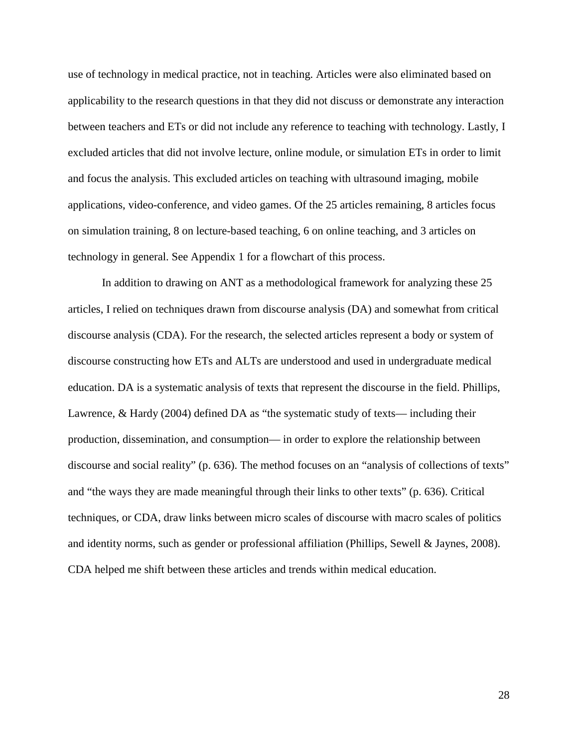use of technology in medical practice, not in teaching. Articles were also eliminated based on applicability to the research questions in that they did not discuss or demonstrate any interaction between teachers and ETs or did not include any reference to teaching with technology. Lastly, I excluded articles that did not involve lecture, online module, or simulation ETs in order to limit and focus the analysis. This excluded articles on teaching with ultrasound imaging, mobile applications, video-conference, and video games. Of the 25 articles remaining, 8 articles focus on simulation training, 8 on lecture-based teaching, 6 on online teaching, and 3 articles on technology in general. See Appendix 1 for a flowchart of this process.

In addition to drawing on ANT as a methodological framework for analyzing these 25 articles, I relied on techniques drawn from discourse analysis (DA) and somewhat from critical discourse analysis (CDA). For the research, the selected articles represent a body or system of discourse constructing how ETs and ALTs are understood and used in undergraduate medical education. DA is a systematic analysis of texts that represent the discourse in the field. Phillips, Lawrence, & Hardy (2004) defined DA as "the systematic study of texts— including their production, dissemination, and consumption— in order to explore the relationship between discourse and social reality" (p. 636). The method focuses on an "analysis of collections of texts" and "the ways they are made meaningful through their links to other texts" (p. 636). Critical techniques, or CDA, draw links between micro scales of discourse with macro scales of politics and identity norms, such as gender or professional affiliation (Phillips, Sewell & Jaynes, 2008). CDA helped me shift between these articles and trends within medical education.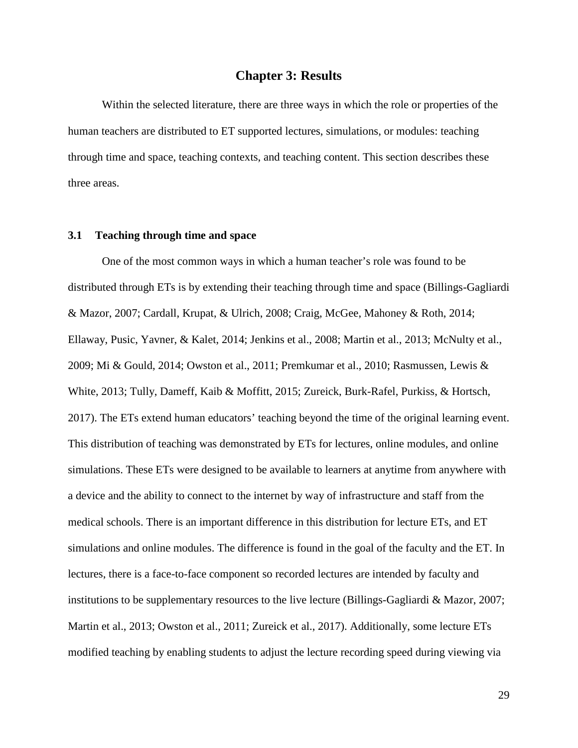## **Chapter 3: Results**

Within the selected literature, there are three ways in which the role or properties of the human teachers are distributed to ET supported lectures, simulations, or modules: teaching through time and space, teaching contexts, and teaching content. This section describes these three areas.

### **3.1 Teaching through time and space**

One of the most common ways in which a human teacher's role was found to be distributed through ETs is by extending their teaching through time and space (Billings-Gagliardi & Mazor, 2007; Cardall, Krupat, & Ulrich, 2008; Craig, McGee, Mahoney & Roth, 2014; Ellaway, Pusic, Yavner, & Kalet, 2014; Jenkins et al., 2008; Martin et al., 2013; McNulty et al., 2009; Mi & Gould, 2014; Owston et al., 2011; Premkumar et al., 2010; Rasmussen, Lewis & White, 2013; Tully, Dameff, Kaib & Moffitt, 2015; Zureick, Burk-Rafel, Purkiss, & Hortsch, 2017). The ETs extend human educators' teaching beyond the time of the original learning event. This distribution of teaching was demonstrated by ETs for lectures, online modules, and online simulations. These ETs were designed to be available to learners at anytime from anywhere with a device and the ability to connect to the internet by way of infrastructure and staff from the medical schools. There is an important difference in this distribution for lecture ETs, and ET simulations and online modules. The difference is found in the goal of the faculty and the ET. In lectures, there is a face-to-face component so recorded lectures are intended by faculty and institutions to be supplementary resources to the live lecture (Billings-Gagliardi & Mazor, 2007; Martin et al., 2013; Owston et al., 2011; Zureick et al., 2017). Additionally, some lecture ETs modified teaching by enabling students to adjust the lecture recording speed during viewing via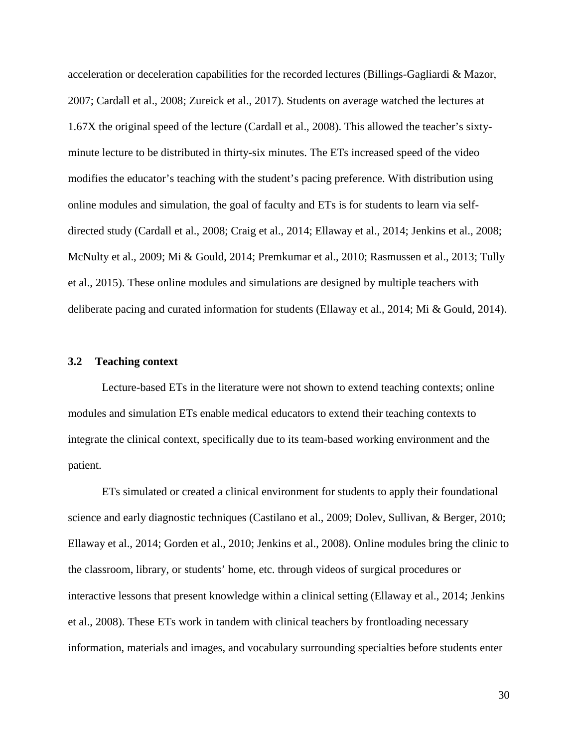acceleration or deceleration capabilities for the recorded lectures (Billings-Gagliardi & Mazor, 2007; Cardall et al., 2008; Zureick et al., 2017). Students on average watched the lectures at 1.67X the original speed of the lecture (Cardall et al., 2008). This allowed the teacher's sixtyminute lecture to be distributed in thirty-six minutes. The ETs increased speed of the video modifies the educator's teaching with the student's pacing preference. With distribution using online modules and simulation, the goal of faculty and ETs is for students to learn via selfdirected study (Cardall et al., 2008; Craig et al., 2014; Ellaway et al., 2014; Jenkins et al., 2008; McNulty et al., 2009; Mi & Gould, 2014; Premkumar et al., 2010; Rasmussen et al., 2013; Tully et al., 2015). These online modules and simulations are designed by multiple teachers with deliberate pacing and curated information for students (Ellaway et al., 2014; Mi & Gould, 2014).

#### **3.2 Teaching context**

Lecture-based ETs in the literature were not shown to extend teaching contexts; online modules and simulation ETs enable medical educators to extend their teaching contexts to integrate the clinical context, specifically due to its team-based working environment and the patient.

ETs simulated or created a clinical environment for students to apply their foundational science and early diagnostic techniques (Castilano et al., 2009; Dolev, Sullivan, & Berger, 2010; Ellaway et al., 2014; Gorden et al., 2010; Jenkins et al., 2008). Online modules bring the clinic to the classroom, library, or students' home, etc. through videos of surgical procedures or interactive lessons that present knowledge within a clinical setting (Ellaway et al., 2014; Jenkins et al., 2008). These ETs work in tandem with clinical teachers by frontloading necessary information, materials and images, and vocabulary surrounding specialties before students enter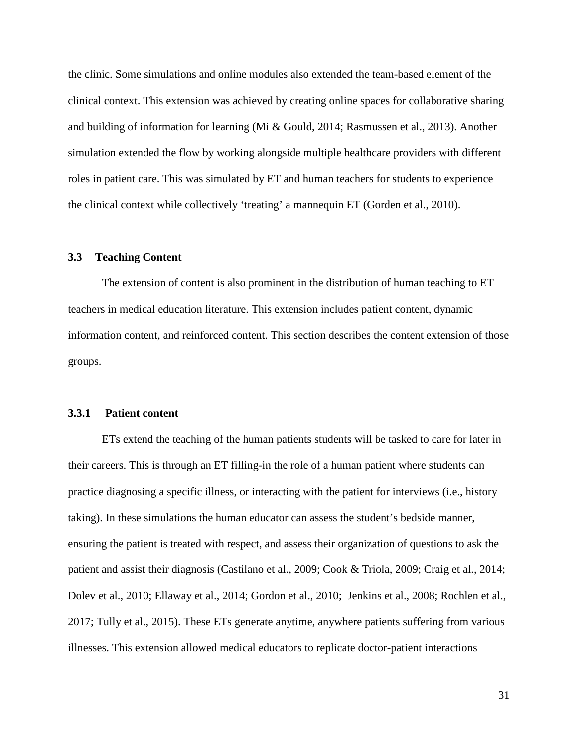the clinic. Some simulations and online modules also extended the team-based element of the clinical context. This extension was achieved by creating online spaces for collaborative sharing and building of information for learning (Mi & Gould, 2014; Rasmussen et al., 2013). Another simulation extended the flow by working alongside multiple healthcare providers with different roles in patient care. This was simulated by ET and human teachers for students to experience the clinical context while collectively 'treating' a mannequin ET (Gorden et al., 2010).

## **3.3 Teaching Content**

The extension of content is also prominent in the distribution of human teaching to ET teachers in medical education literature. This extension includes patient content, dynamic information content, and reinforced content. This section describes the content extension of those groups.

### **3.3.1 Patient content**

ETs extend the teaching of the human patients students will be tasked to care for later in their careers. This is through an ET filling-in the role of a human patient where students can practice diagnosing a specific illness, or interacting with the patient for interviews (i.e., history taking). In these simulations the human educator can assess the student's bedside manner, ensuring the patient is treated with respect, and assess their organization of questions to ask the patient and assist their diagnosis (Castilano et al., 2009; Cook & Triola, 2009; Craig et al., 2014; Dolev et al., 2010; Ellaway et al., 2014; Gordon et al., 2010; Jenkins et al., 2008; Rochlen et al., 2017; Tully et al., 2015). These ETs generate anytime, anywhere patients suffering from various illnesses. This extension allowed medical educators to replicate doctor-patient interactions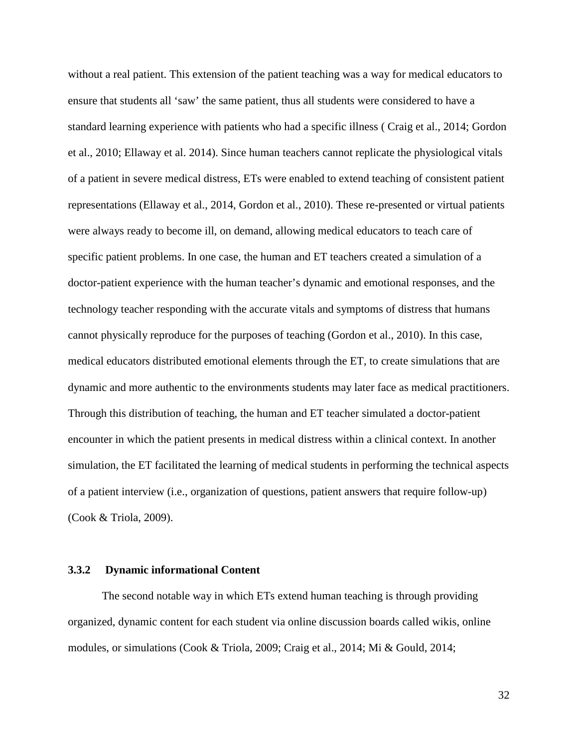without a real patient. This extension of the patient teaching was a way for medical educators to ensure that students all 'saw' the same patient, thus all students were considered to have a standard learning experience with patients who had a specific illness ( Craig et al., 2014; Gordon et al., 2010; Ellaway et al. 2014). Since human teachers cannot replicate the physiological vitals of a patient in severe medical distress, ETs were enabled to extend teaching of consistent patient representations (Ellaway et al., 2014, Gordon et al., 2010). These re-presented or virtual patients were always ready to become ill, on demand, allowing medical educators to teach care of specific patient problems. In one case, the human and ET teachers created a simulation of a doctor-patient experience with the human teacher's dynamic and emotional responses, and the technology teacher responding with the accurate vitals and symptoms of distress that humans cannot physically reproduce for the purposes of teaching (Gordon et al., 2010). In this case, medical educators distributed emotional elements through the ET, to create simulations that are dynamic and more authentic to the environments students may later face as medical practitioners. Through this distribution of teaching, the human and ET teacher simulated a doctor-patient encounter in which the patient presents in medical distress within a clinical context. In another simulation, the ET facilitated the learning of medical students in performing the technical aspects of a patient interview (i.e., organization of questions, patient answers that require follow-up) (Cook & Triola, 2009).

### **3.3.2 Dynamic informational Content**

The second notable way in which ETs extend human teaching is through providing organized, dynamic content for each student via online discussion boards called wikis, online modules, or simulations (Cook & Triola, 2009; Craig et al., 2014; Mi & Gould, 2014;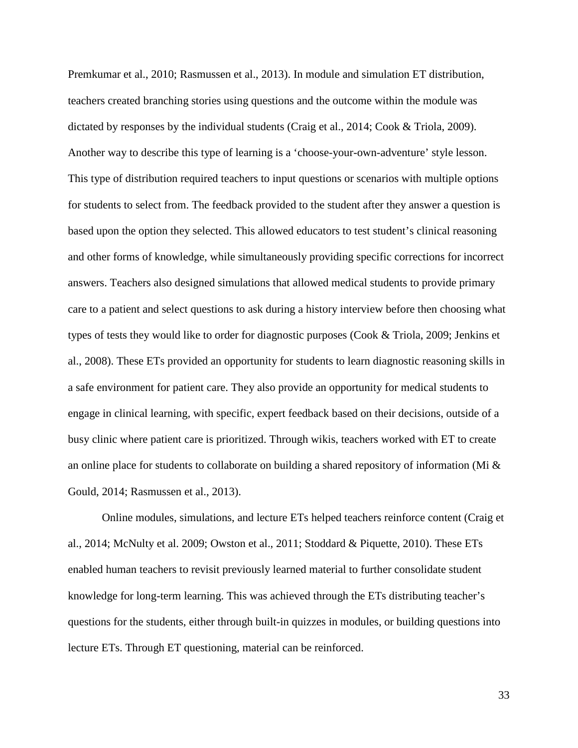Premkumar et al., 2010; Rasmussen et al., 2013). In module and simulation ET distribution, teachers created branching stories using questions and the outcome within the module was dictated by responses by the individual students (Craig et al., 2014; Cook & Triola, 2009). Another way to describe this type of learning is a 'choose-your-own-adventure' style lesson. This type of distribution required teachers to input questions or scenarios with multiple options for students to select from. The feedback provided to the student after they answer a question is based upon the option they selected. This allowed educators to test student's clinical reasoning and other forms of knowledge, while simultaneously providing specific corrections for incorrect answers. Teachers also designed simulations that allowed medical students to provide primary care to a patient and select questions to ask during a history interview before then choosing what types of tests they would like to order for diagnostic purposes (Cook & Triola, 2009; Jenkins et al., 2008). These ETs provided an opportunity for students to learn diagnostic reasoning skills in a safe environment for patient care. They also provide an opportunity for medical students to engage in clinical learning, with specific, expert feedback based on their decisions, outside of a busy clinic where patient care is prioritized. Through wikis, teachers worked with ET to create an online place for students to collaborate on building a shared repository of information (Mi & Gould, 2014; Rasmussen et al., 2013).

Online modules, simulations, and lecture ETs helped teachers reinforce content (Craig et al., 2014; McNulty et al. 2009; Owston et al., 2011; Stoddard & Piquette, 2010). These ETs enabled human teachers to revisit previously learned material to further consolidate student knowledge for long-term learning. This was achieved through the ETs distributing teacher's questions for the students, either through built-in quizzes in modules, or building questions into lecture ETs. Through ET questioning, material can be reinforced.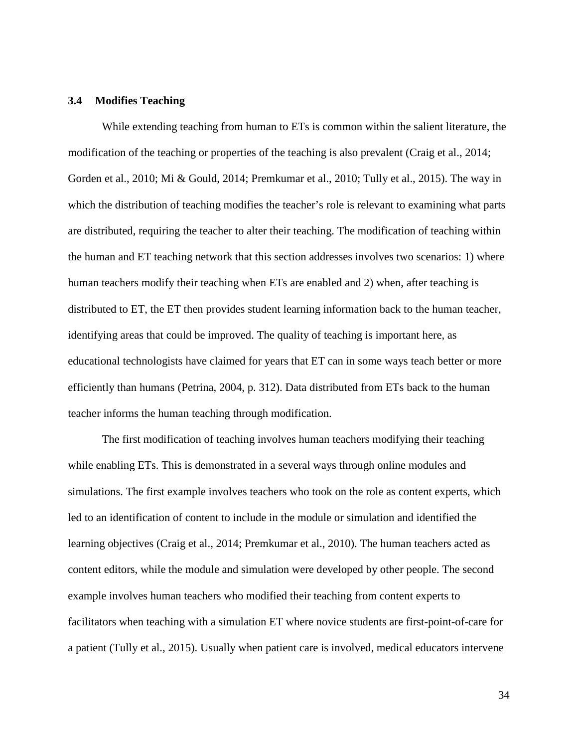### **3.4 Modifies Teaching**

While extending teaching from human to ETs is common within the salient literature, the modification of the teaching or properties of the teaching is also prevalent (Craig et al., 2014; Gorden et al., 2010; Mi & Gould, 2014; Premkumar et al., 2010; Tully et al., 2015). The way in which the distribution of teaching modifies the teacher's role is relevant to examining what parts are distributed, requiring the teacher to alter their teaching. The modification of teaching within the human and ET teaching network that this section addresses involves two scenarios: 1) where human teachers modify their teaching when ETs are enabled and 2) when, after teaching is distributed to ET, the ET then provides student learning information back to the human teacher, identifying areas that could be improved. The quality of teaching is important here, as educational technologists have claimed for years that ET can in some ways teach better or more efficiently than humans (Petrina, 2004, p. 312). Data distributed from ETs back to the human teacher informs the human teaching through modification.

The first modification of teaching involves human teachers modifying their teaching while enabling ETs. This is demonstrated in a several ways through online modules and simulations. The first example involves teachers who took on the role as content experts, which led to an identification of content to include in the module or simulation and identified the learning objectives (Craig et al., 2014; Premkumar et al., 2010). The human teachers acted as content editors, while the module and simulation were developed by other people. The second example involves human teachers who modified their teaching from content experts to facilitators when teaching with a simulation ET where novice students are first-point-of-care for a patient (Tully et al., 2015). Usually when patient care is involved, medical educators intervene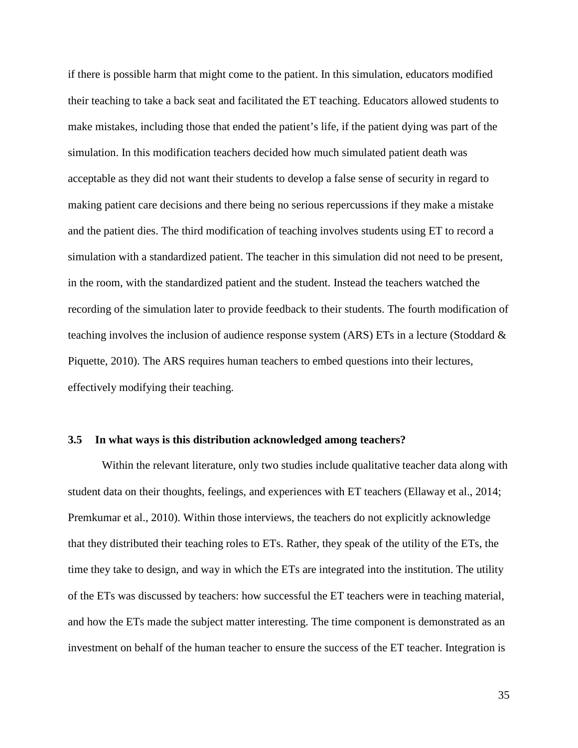if there is possible harm that might come to the patient. In this simulation, educators modified their teaching to take a back seat and facilitated the ET teaching. Educators allowed students to make mistakes, including those that ended the patient's life, if the patient dying was part of the simulation. In this modification teachers decided how much simulated patient death was acceptable as they did not want their students to develop a false sense of security in regard to making patient care decisions and there being no serious repercussions if they make a mistake and the patient dies. The third modification of teaching involves students using ET to record a simulation with a standardized patient. The teacher in this simulation did not need to be present, in the room, with the standardized patient and the student. Instead the teachers watched the recording of the simulation later to provide feedback to their students. The fourth modification of teaching involves the inclusion of audience response system (ARS) ETs in a lecture (Stoddard & Piquette, 2010). The ARS requires human teachers to embed questions into their lectures, effectively modifying their teaching.

#### **3.5 In what ways is this distribution acknowledged among teachers?**

Within the relevant literature, only two studies include qualitative teacher data along with student data on their thoughts, feelings, and experiences with ET teachers (Ellaway et al., 2014; Premkumar et al., 2010). Within those interviews, the teachers do not explicitly acknowledge that they distributed their teaching roles to ETs. Rather, they speak of the utility of the ETs, the time they take to design, and way in which the ETs are integrated into the institution. The utility of the ETs was discussed by teachers: how successful the ET teachers were in teaching material, and how the ETs made the subject matter interesting. The time component is demonstrated as an investment on behalf of the human teacher to ensure the success of the ET teacher. Integration is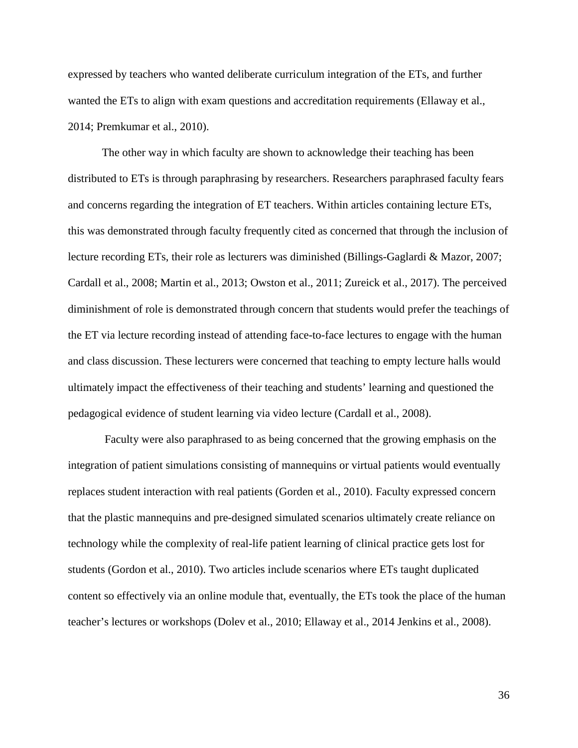expressed by teachers who wanted deliberate curriculum integration of the ETs, and further wanted the ETs to align with exam questions and accreditation requirements (Ellaway et al., 2014; Premkumar et al., 2010).

The other way in which faculty are shown to acknowledge their teaching has been distributed to ETs is through paraphrasing by researchers. Researchers paraphrased faculty fears and concerns regarding the integration of ET teachers. Within articles containing lecture ETs, this was demonstrated through faculty frequently cited as concerned that through the inclusion of lecture recording ETs, their role as lecturers was diminished (Billings-Gaglardi & Mazor, 2007; Cardall et al., 2008; Martin et al., 2013; Owston et al., 2011; Zureick et al., 2017). The perceived diminishment of role is demonstrated through concern that students would prefer the teachings of the ET via lecture recording instead of attending face-to-face lectures to engage with the human and class discussion. These lecturers were concerned that teaching to empty lecture halls would ultimately impact the effectiveness of their teaching and students' learning and questioned the pedagogical evidence of student learning via video lecture (Cardall et al., 2008).

Faculty were also paraphrased to as being concerned that the growing emphasis on the integration of patient simulations consisting of mannequins or virtual patients would eventually replaces student interaction with real patients (Gorden et al., 2010). Faculty expressed concern that the plastic mannequins and pre-designed simulated scenarios ultimately create reliance on technology while the complexity of real-life patient learning of clinical practice gets lost for students (Gordon et al., 2010). Two articles include scenarios where ETs taught duplicated content so effectively via an online module that, eventually, the ETs took the place of the human teacher's lectures or workshops (Dolev et al., 2010; Ellaway et al., 2014 Jenkins et al., 2008).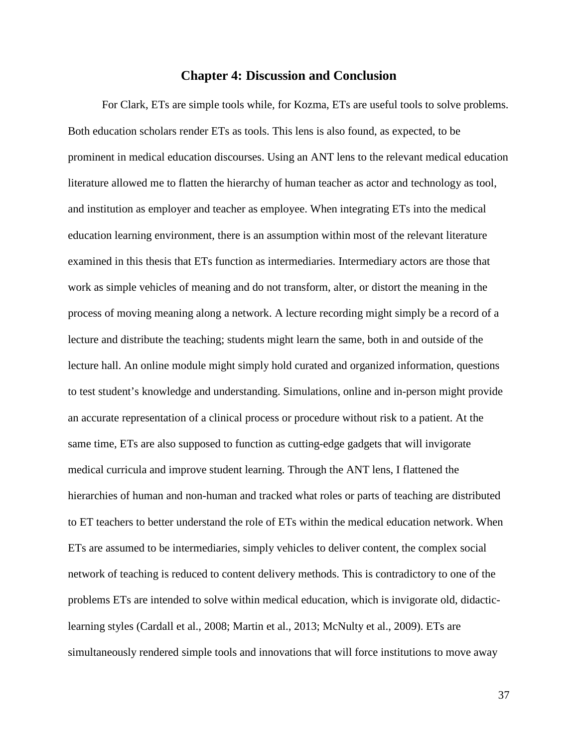### **Chapter 4: Discussion and Conclusion**

For Clark, ETs are simple tools while, for Kozma, ETs are useful tools to solve problems. Both education scholars render ETs as tools. This lens is also found, as expected, to be prominent in medical education discourses. Using an ANT lens to the relevant medical education literature allowed me to flatten the hierarchy of human teacher as actor and technology as tool, and institution as employer and teacher as employee. When integrating ETs into the medical education learning environment, there is an assumption within most of the relevant literature examined in this thesis that ETs function as intermediaries. Intermediary actors are those that work as simple vehicles of meaning and do not transform, alter, or distort the meaning in the process of moving meaning along a network. A lecture recording might simply be a record of a lecture and distribute the teaching; students might learn the same, both in and outside of the lecture hall. An online module might simply hold curated and organized information, questions to test student's knowledge and understanding. Simulations, online and in-person might provide an accurate representation of a clinical process or procedure without risk to a patient. At the same time, ETs are also supposed to function as cutting-edge gadgets that will invigorate medical curricula and improve student learning. Through the ANT lens, I flattened the hierarchies of human and non-human and tracked what roles or parts of teaching are distributed to ET teachers to better understand the role of ETs within the medical education network. When ETs are assumed to be intermediaries, simply vehicles to deliver content, the complex social network of teaching is reduced to content delivery methods. This is contradictory to one of the problems ETs are intended to solve within medical education, which is invigorate old, didacticlearning styles (Cardall et al., 2008; Martin et al., 2013; McNulty et al., 2009). ETs are simultaneously rendered simple tools and innovations that will force institutions to move away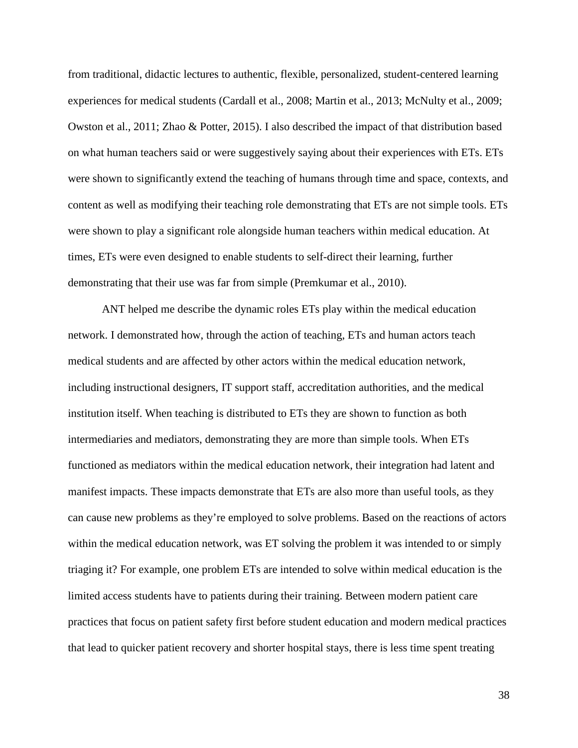from traditional, didactic lectures to authentic, flexible, personalized, student-centered learning experiences for medical students (Cardall et al., 2008; Martin et al., 2013; McNulty et al., 2009; Owston et al., 2011; Zhao & Potter, 2015). I also described the impact of that distribution based on what human teachers said or were suggestively saying about their experiences with ETs. ETs were shown to significantly extend the teaching of humans through time and space, contexts, and content as well as modifying their teaching role demonstrating that ETs are not simple tools. ETs were shown to play a significant role alongside human teachers within medical education. At times, ETs were even designed to enable students to self-direct their learning, further demonstrating that their use was far from simple (Premkumar et al., 2010).

ANT helped me describe the dynamic roles ETs play within the medical education network. I demonstrated how, through the action of teaching, ETs and human actors teach medical students and are affected by other actors within the medical education network, including instructional designers, IT support staff, accreditation authorities, and the medical institution itself. When teaching is distributed to ETs they are shown to function as both intermediaries and mediators, demonstrating they are more than simple tools. When ETs functioned as mediators within the medical education network, their integration had latent and manifest impacts. These impacts demonstrate that ETs are also more than useful tools, as they can cause new problems as they're employed to solve problems. Based on the reactions of actors within the medical education network, was ET solving the problem it was intended to or simply triaging it? For example, one problem ETs are intended to solve within medical education is the limited access students have to patients during their training. Between modern patient care practices that focus on patient safety first before student education and modern medical practices that lead to quicker patient recovery and shorter hospital stays, there is less time spent treating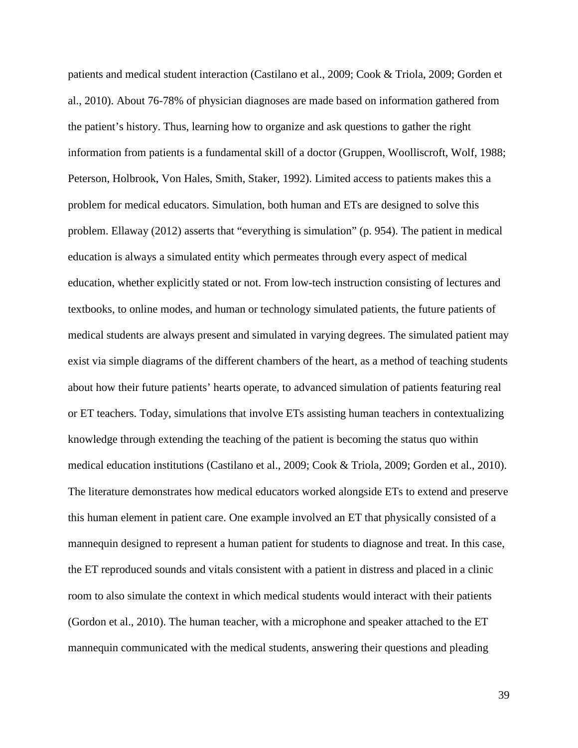patients and medical student interaction (Castilano et al., 2009; Cook & Triola, 2009; Gorden et al., 2010). About 76-78% of physician diagnoses are made based on information gathered from the patient's history. Thus, learning how to organize and ask questions to gather the right information from patients is a fundamental skill of a doctor (Gruppen, Woolliscroft, Wolf, 1988; Peterson, Holbrook, Von Hales, Smith, Staker, 1992). Limited access to patients makes this a problem for medical educators. Simulation, both human and ETs are designed to solve this problem. Ellaway (2012) asserts that "everything is simulation" (p. 954). The patient in medical education is always a simulated entity which permeates through every aspect of medical education, whether explicitly stated or not. From low-tech instruction consisting of lectures and textbooks, to online modes, and human or technology simulated patients, the future patients of medical students are always present and simulated in varying degrees. The simulated patient may exist via simple diagrams of the different chambers of the heart, as a method of teaching students about how their future patients' hearts operate, to advanced simulation of patients featuring real or ET teachers. Today, simulations that involve ETs assisting human teachers in contextualizing knowledge through extending the teaching of the patient is becoming the status quo within medical education institutions (Castilano et al., 2009; Cook & Triola, 2009; Gorden et al., 2010). The literature demonstrates how medical educators worked alongside ETs to extend and preserve this human element in patient care. One example involved an ET that physically consisted of a mannequin designed to represent a human patient for students to diagnose and treat. In this case, the ET reproduced sounds and vitals consistent with a patient in distress and placed in a clinic room to also simulate the context in which medical students would interact with their patients (Gordon et al., 2010). The human teacher, with a microphone and speaker attached to the ET mannequin communicated with the medical students, answering their questions and pleading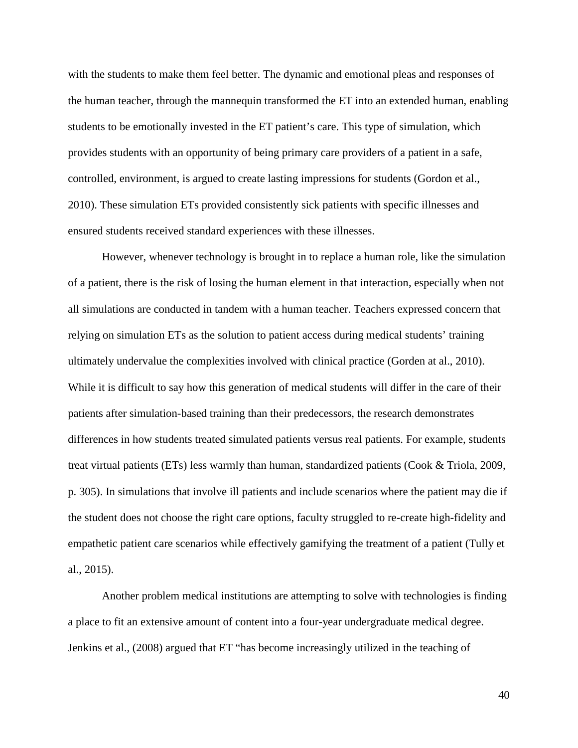with the students to make them feel better. The dynamic and emotional pleas and responses of the human teacher, through the mannequin transformed the ET into an extended human, enabling students to be emotionally invested in the ET patient's care. This type of simulation, which provides students with an opportunity of being primary care providers of a patient in a safe, controlled, environment, is argued to create lasting impressions for students (Gordon et al., 2010). These simulation ETs provided consistently sick patients with specific illnesses and ensured students received standard experiences with these illnesses.

However, whenever technology is brought in to replace a human role, like the simulation of a patient, there is the risk of losing the human element in that interaction, especially when not all simulations are conducted in tandem with a human teacher. Teachers expressed concern that relying on simulation ETs as the solution to patient access during medical students' training ultimately undervalue the complexities involved with clinical practice (Gorden at al., 2010). While it is difficult to say how this generation of medical students will differ in the care of their patients after simulation-based training than their predecessors, the research demonstrates differences in how students treated simulated patients versus real patients. For example, students treat virtual patients (ETs) less warmly than human, standardized patients (Cook & Triola, 2009, p. 305). In simulations that involve ill patients and include scenarios where the patient may die if the student does not choose the right care options, faculty struggled to re-create high-fidelity and empathetic patient care scenarios while effectively gamifying the treatment of a patient (Tully et al., 2015).

Another problem medical institutions are attempting to solve with technologies is finding a place to fit an extensive amount of content into a four-year undergraduate medical degree. Jenkins et al., (2008) argued that ET "has become increasingly utilized in the teaching of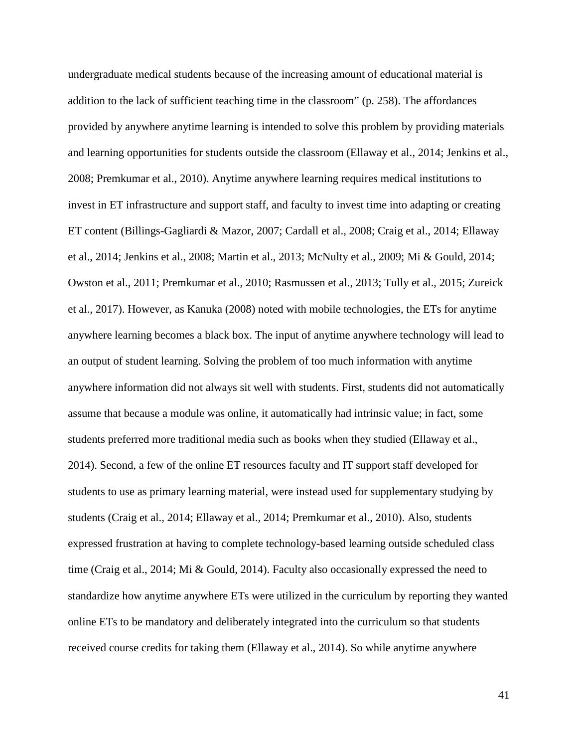undergraduate medical students because of the increasing amount of educational material is addition to the lack of sufficient teaching time in the classroom" (p. 258). The affordances provided by anywhere anytime learning is intended to solve this problem by providing materials and learning opportunities for students outside the classroom (Ellaway et al., 2014; Jenkins et al., 2008; Premkumar et al., 2010). Anytime anywhere learning requires medical institutions to invest in ET infrastructure and support staff, and faculty to invest time into adapting or creating ET content (Billings-Gagliardi & Mazor, 2007; Cardall et al., 2008; Craig et al., 2014; Ellaway et al., 2014; Jenkins et al., 2008; Martin et al., 2013; McNulty et al., 2009; Mi & Gould, 2014; Owston et al., 2011; Premkumar et al., 2010; Rasmussen et al., 2013; Tully et al., 2015; Zureick et al., 2017). However, as Kanuka (2008) noted with mobile technologies, the ETs for anytime anywhere learning becomes a black box. The input of anytime anywhere technology will lead to an output of student learning. Solving the problem of too much information with anytime anywhere information did not always sit well with students. First, students did not automatically assume that because a module was online, it automatically had intrinsic value; in fact, some students preferred more traditional media such as books when they studied (Ellaway et al., 2014). Second, a few of the online ET resources faculty and IT support staff developed for students to use as primary learning material, were instead used for supplementary studying by students (Craig et al., 2014; Ellaway et al., 2014; Premkumar et al., 2010). Also, students expressed frustration at having to complete technology-based learning outside scheduled class time (Craig et al., 2014; Mi & Gould, 2014). Faculty also occasionally expressed the need to standardize how anytime anywhere ETs were utilized in the curriculum by reporting they wanted online ETs to be mandatory and deliberately integrated into the curriculum so that students received course credits for taking them (Ellaway et al., 2014). So while anytime anywhere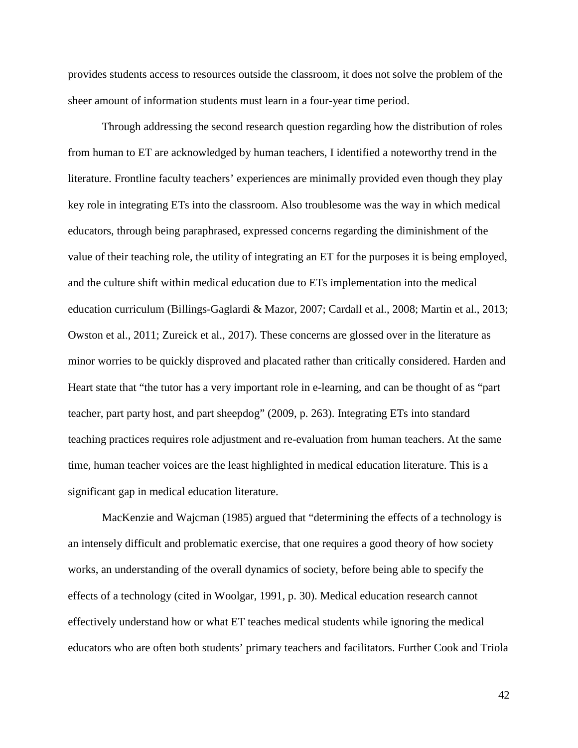provides students access to resources outside the classroom, it does not solve the problem of the sheer amount of information students must learn in a four-year time period.

Through addressing the second research question regarding how the distribution of roles from human to ET are acknowledged by human teachers, I identified a noteworthy trend in the literature. Frontline faculty teachers' experiences are minimally provided even though they play key role in integrating ETs into the classroom. Also troublesome was the way in which medical educators, through being paraphrased, expressed concerns regarding the diminishment of the value of their teaching role, the utility of integrating an ET for the purposes it is being employed, and the culture shift within medical education due to ETs implementation into the medical education curriculum (Billings-Gaglardi & Mazor, 2007; Cardall et al., 2008; Martin et al., 2013; Owston et al., 2011; Zureick et al., 2017). These concerns are glossed over in the literature as minor worries to be quickly disproved and placated rather than critically considered. Harden and Heart state that "the tutor has a very important role in e-learning, and can be thought of as "part teacher, part party host, and part sheepdog" (2009, p. 263). Integrating ETs into standard teaching practices requires role adjustment and re-evaluation from human teachers. At the same time, human teacher voices are the least highlighted in medical education literature. This is a significant gap in medical education literature.

MacKenzie and Wajcman (1985) argued that "determining the effects of a technology is an intensely difficult and problematic exercise, that one requires a good theory of how society works, an understanding of the overall dynamics of society, before being able to specify the effects of a technology (cited in Woolgar, 1991, p. 30). Medical education research cannot effectively understand how or what ET teaches medical students while ignoring the medical educators who are often both students' primary teachers and facilitators. Further Cook and Triola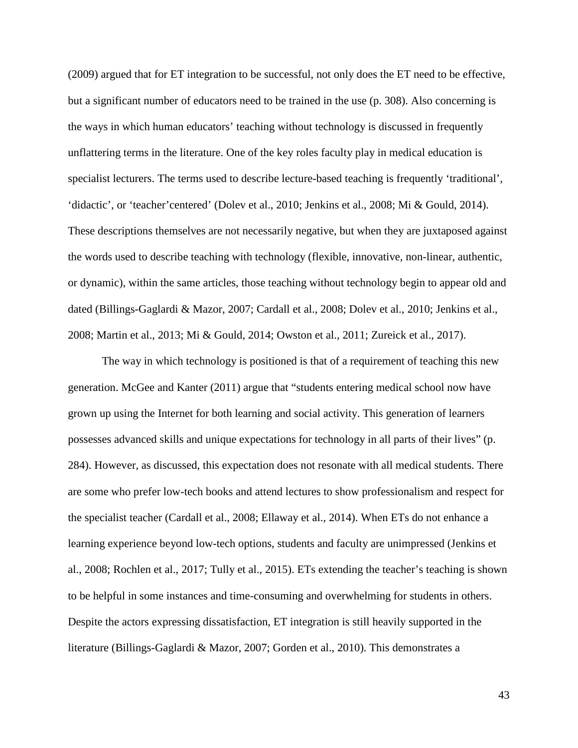(2009) argued that for ET integration to be successful, not only does the ET need to be effective, but a significant number of educators need to be trained in the use (p. 308). Also concerning is the ways in which human educators' teaching without technology is discussed in frequently unflattering terms in the literature. One of the key roles faculty play in medical education is specialist lecturers. The terms used to describe lecture-based teaching is frequently 'traditional', 'didactic', or 'teacher'centered' (Dolev et al., 2010; Jenkins et al., 2008; Mi & Gould, 2014). These descriptions themselves are not necessarily negative, but when they are juxtaposed against the words used to describe teaching with technology (flexible, innovative, non-linear, authentic, or dynamic), within the same articles, those teaching without technology begin to appear old and dated (Billings-Gaglardi & Mazor, 2007; Cardall et al., 2008; Dolev et al., 2010; Jenkins et al., 2008; Martin et al., 2013; Mi & Gould, 2014; Owston et al., 2011; Zureick et al., 2017).

The way in which technology is positioned is that of a requirement of teaching this new generation. McGee and Kanter (2011) argue that "students entering medical school now have grown up using the Internet for both learning and social activity. This generation of learners possesses advanced skills and unique expectations for technology in all parts of their lives" (p. 284). However, as discussed, this expectation does not resonate with all medical students. There are some who prefer low-tech books and attend lectures to show professionalism and respect for the specialist teacher (Cardall et al., 2008; Ellaway et al., 2014). When ETs do not enhance a learning experience beyond low-tech options, students and faculty are unimpressed (Jenkins et al., 2008; Rochlen et al., 2017; Tully et al., 2015). ETs extending the teacher's teaching is shown to be helpful in some instances and time-consuming and overwhelming for students in others. Despite the actors expressing dissatisfaction, ET integration is still heavily supported in the literature (Billings-Gaglardi & Mazor, 2007; Gorden et al., 2010). This demonstrates a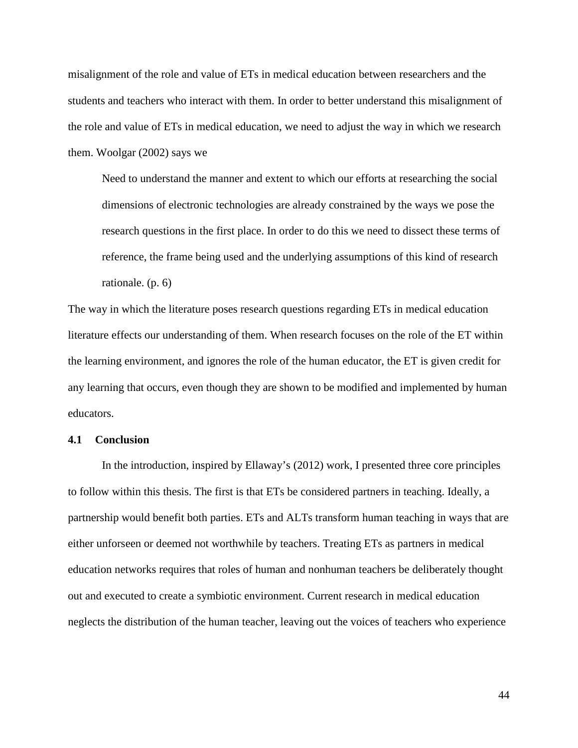misalignment of the role and value of ETs in medical education between researchers and the students and teachers who interact with them. In order to better understand this misalignment of the role and value of ETs in medical education, we need to adjust the way in which we research them. Woolgar (2002) says we

Need to understand the manner and extent to which our efforts at researching the social dimensions of electronic technologies are already constrained by the ways we pose the research questions in the first place. In order to do this we need to dissect these terms of reference, the frame being used and the underlying assumptions of this kind of research rationale. (p. 6)

The way in which the literature poses research questions regarding ETs in medical education literature effects our understanding of them. When research focuses on the role of the ET within the learning environment, and ignores the role of the human educator, the ET is given credit for any learning that occurs, even though they are shown to be modified and implemented by human educators.

#### **4.1 Conclusion**

In the introduction, inspired by Ellaway's (2012) work, I presented three core principles to follow within this thesis. The first is that ETs be considered partners in teaching. Ideally, a partnership would benefit both parties. ETs and ALTs transform human teaching in ways that are either unforseen or deemed not worthwhile by teachers. Treating ETs as partners in medical education networks requires that roles of human and nonhuman teachers be deliberately thought out and executed to create a symbiotic environment. Current research in medical education neglects the distribution of the human teacher, leaving out the voices of teachers who experience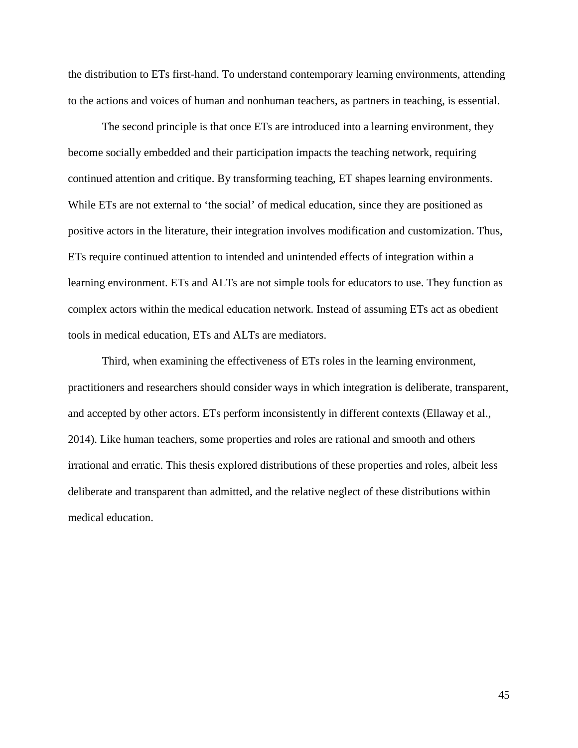the distribution to ETs first-hand. To understand contemporary learning environments, attending to the actions and voices of human and nonhuman teachers, as partners in teaching, is essential.

The second principle is that once ETs are introduced into a learning environment, they become socially embedded and their participation impacts the teaching network, requiring continued attention and critique. By transforming teaching, ET shapes learning environments. While ETs are not external to 'the social' of medical education, since they are positioned as positive actors in the literature, their integration involves modification and customization. Thus, ETs require continued attention to intended and unintended effects of integration within a learning environment. ETs and ALTs are not simple tools for educators to use. They function as complex actors within the medical education network. Instead of assuming ETs act as obedient tools in medical education, ETs and ALTs are mediators.

Third, when examining the effectiveness of ETs roles in the learning environment, practitioners and researchers should consider ways in which integration is deliberate, transparent, and accepted by other actors. ETs perform inconsistently in different contexts (Ellaway et al., 2014). Like human teachers, some properties and roles are rational and smooth and others irrational and erratic. This thesis explored distributions of these properties and roles, albeit less deliberate and transparent than admitted, and the relative neglect of these distributions within medical education.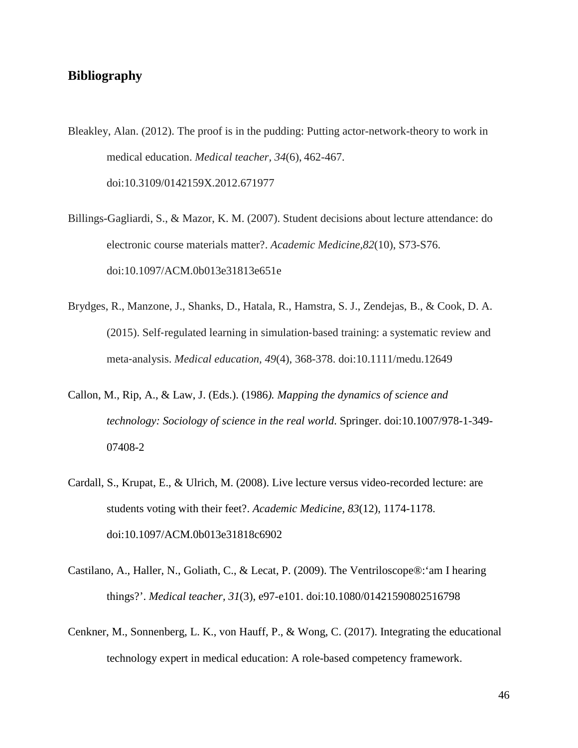# **Bibliography**

- Bleakley, Alan. (2012). The proof is in the pudding: Putting actor-network-theory to work in medical education. *Medical teacher, 34*(6), 462-467. doi:10.3109/0142159X.2012.671977
- Billings-Gagliardi, S., & Mazor, K. M. (2007). Student decisions about lecture attendance: do electronic course materials matter?. *Academic Medicine,82*(10), S73-S76. doi:10.1097/ACM.0b013e31813e651e
- Brydges, R., Manzone, J., Shanks, D., Hatala, R., Hamstra, S. J., Zendejas, B., & Cook, D. A. (2015). Self‐regulated learning in simulation‐based training: a systematic review and meta‐analysis. *Medical education, 49*(4), 368-378. doi:10.1111/medu.12649
- Callon, M., Rip, A., & Law, J. (Eds.). (1986*). Mapping the dynamics of science and technology: Sociology of science in the real world*. Springer. doi:10.1007/978-1-349- 07408-2
- Cardall, S., Krupat, E., & Ulrich, M. (2008). Live lecture versus video-recorded lecture: are students voting with their feet?. *Academic Medicine, 83*(12), 1174-1178. doi:10.1097/ACM.0b013e31818c6902
- Castilano, A., Haller, N., Goliath, C., & Lecat, P. (2009). The Ventriloscope®:'am I hearing things?'. *Medical teacher, 31*(3), e97-e101. doi:10.1080/01421590802516798
- Cenkner, M., Sonnenberg, L. K., von Hauff, P., & Wong, C. (2017). Integrating the educational technology expert in medical education: A role-based competency framework.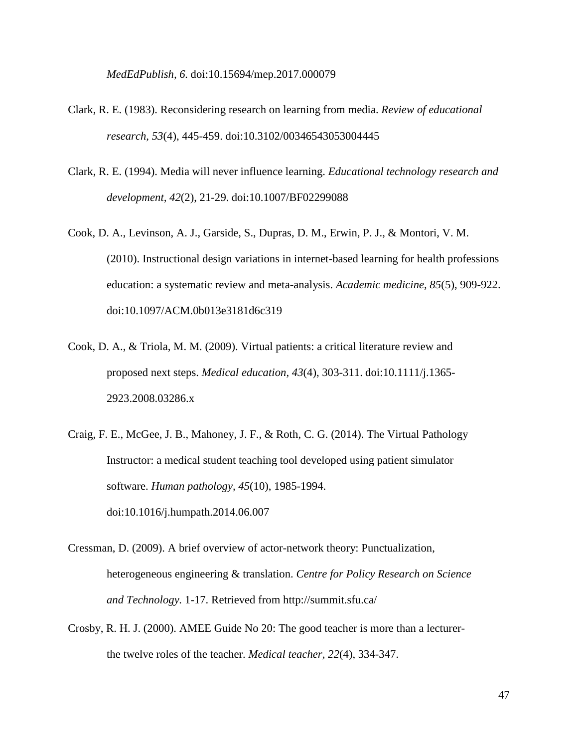*MedEdPublish, 6.* doi:10.15694/mep.2017.000079

- Clark, R. E. (1983). Reconsidering research on learning from media. *Review of educational research, 53*(4), 445-459. doi:10.3102/00346543053004445
- Clark, R. E. (1994). Media will never influence learning. *Educational technology research and development, 42*(2), 21-29. doi:10.1007/BF02299088
- Cook, D. A., Levinson, A. J., Garside, S., Dupras, D. M., Erwin, P. J., & Montori, V. M. (2010). Instructional design variations in internet-based learning for health professions education: a systematic review and meta-analysis. *Academic medicine, 85*(5), 909-922. doi:10.1097/ACM.0b013e3181d6c319
- Cook, D. A., & Triola, M. M. (2009). Virtual patients: a critical literature review and proposed next steps. *Medical education, 43*(4), 303-311. doi:10.1111/j.1365- 2923.2008.03286.x
- Craig, F. E., McGee, J. B., Mahoney, J. F., & Roth, C. G. (2014). The Virtual Pathology Instructor: a medical student teaching tool developed using patient simulator software. *Human pathology, 45*(10), 1985-1994. doi:10.1016/j.humpath.2014.06.007
- Cressman, D. (2009). A brief overview of actor-network theory: Punctualization, heterogeneous engineering & translation. *Centre for Policy Research on Science and Technology.* 1-17. Retrieved from http://summit.sfu.ca/
- Crosby, R. H. J. (2000). AMEE Guide No 20: The good teacher is more than a lecturerthe twelve roles of the teacher. *Medical teacher, 22*(4), 334-347.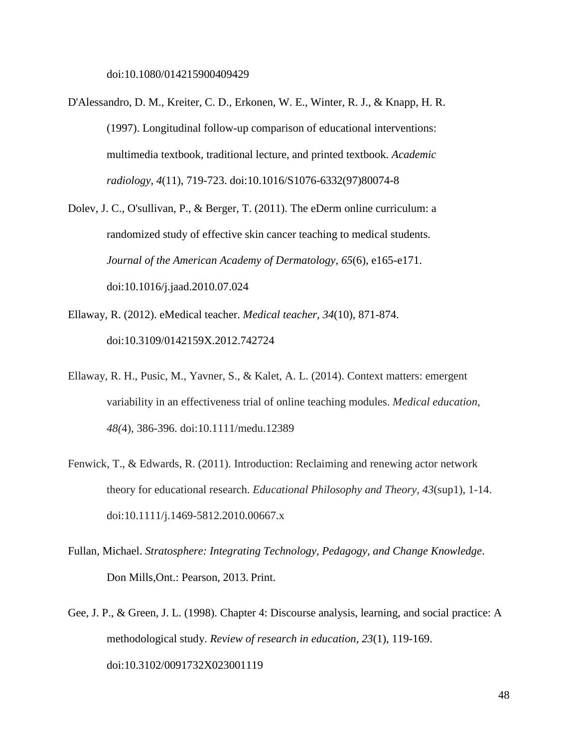- D'Alessandro, D. M., Kreiter, C. D., Erkonen, W. E., Winter, R. J., & Knapp, H. R. (1997). Longitudinal follow-up comparison of educational interventions: multimedia textbook, traditional lecture, and printed textbook*. Academic radiology, 4*(11), 719-723. doi:10.1016/S1076-6332(97)80074-8
- Dolev, J. C., O'sullivan, P., & Berger, T. (2011). The eDerm online curriculum: a randomized study of effective skin cancer teaching to medical students. *Journal of the American Academy of Dermatology, 65*(6), e165-e171. doi:10.1016/j.jaad.2010.07.024
- Ellaway, R. (2012). eMedical teacher. *Medical teacher, 34*(10), 871-874. doi:10.3109/0142159X.2012.742724
- Ellaway, R. H., Pusic, M., Yavner, S., & Kalet, A. L. (2014). Context matters: emergent variability in an effectiveness trial of online teaching modules. *Medical education, 48(*4), 386-396. doi:10.1111/medu.12389
- Fenwick, T., & Edwards, R. (2011). Introduction: Reclaiming and renewing actor network theory for educational research. *Educational Philosophy and Theory, 43*(sup1), 1-14. doi:10.1111/j.1469-5812.2010.00667.x
- Fullan, Michael. *Stratosphere: Integrating Technology, Pedagogy, and Change Knowledge*. Don Mills,Ont.: Pearson, 2013. Print.
- Gee, J. P., & Green, J. L. (1998). Chapter 4: Discourse analysis, learning, and social practice: A methodological study. *Review of research in education, 23*(1), 119-169. doi:10.3102/0091732X023001119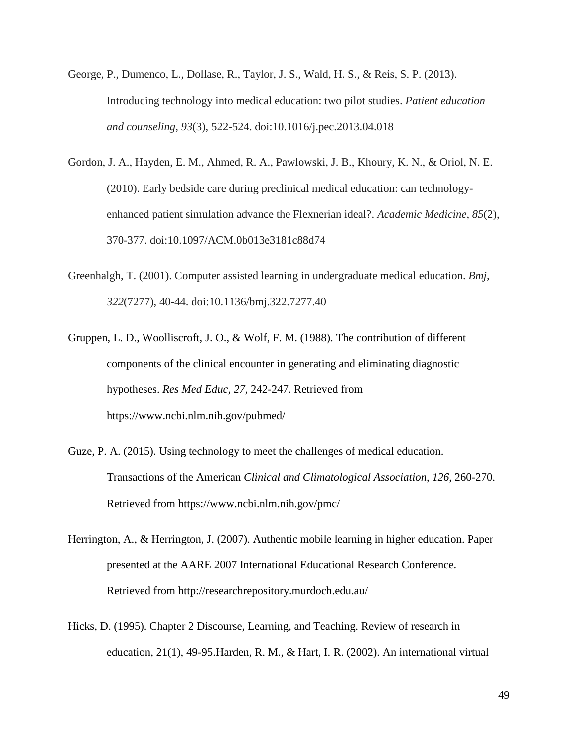- George, P., Dumenco, L., Dollase, R., Taylor, J. S., Wald, H. S., & Reis, S. P. (2013). Introducing technology into medical education: two pilot studies. *Patient education and counseling, 93*(3), 522-524. doi:10.1016/j.pec.2013.04.018
- Gordon, J. A., Hayden, E. M., Ahmed, R. A., Pawlowski, J. B., Khoury, K. N., & Oriol, N. E. (2010). Early bedside care during preclinical medical education: can technologyenhanced patient simulation advance the Flexnerian ideal?. *Academic Medicine*, *85*(2), 370-377. doi:10.1097/ACM.0b013e3181c88d74
- Greenhalgh, T. (2001). Computer assisted learning in undergraduate medical education. *Bmj, 322*(7277), 40-44. doi:10.1136/bmj.322.7277.40
- Gruppen, L. D., Woolliscroft, J. O., & Wolf, F. M. (1988). The contribution of different components of the clinical encounter in generating and eliminating diagnostic hypotheses. *Res Med Educ, 27,* 242-247. Retrieved from https://www.ncbi.nlm.nih.gov/pubmed/
- Guze, P. A. (2015). Using technology to meet the challenges of medical education. Transactions of the American *Clinical and Climatological Association*, *126*, 260-270. Retrieved from https://www.ncbi.nlm.nih.gov/pmc/
- Herrington, A., & Herrington, J. (2007). Authentic mobile learning in higher education. Paper presented at the AARE 2007 International Educational Research Conference. Retrieved from http://researchrepository.murdoch.edu.au/
- Hicks, D. (1995). Chapter 2 Discourse, Learning, and Teaching. Review of research in education, 21(1), 49-95.Harden, R. M., & Hart, I. R. (2002). An international virtual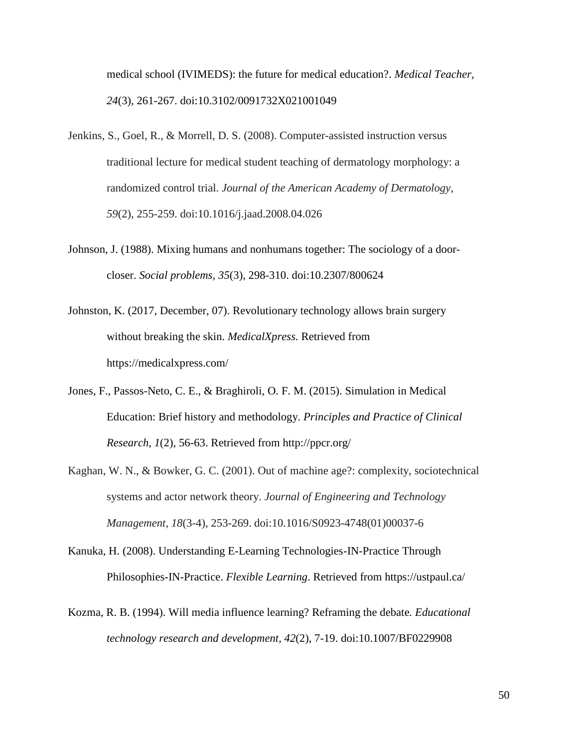medical school (IVIMEDS): the future for medical education?. *Medical Teacher, 24*(3), 261-267. doi:10.3102/0091732X021001049

- Jenkins, S., Goel, R., & Morrell, D. S. (2008). Computer-assisted instruction versus traditional lecture for medical student teaching of dermatology morphology: a randomized control trial. *Journal of the American Academy of Dermatology, 59*(2), 255-259. doi:10.1016/j.jaad.2008.04.026
- Johnson, J. (1988). Mixing humans and nonhumans together: The sociology of a doorcloser. *Social problems, 35*(3), 298-310. doi:10.2307/800624
- Johnston, K. (2017, December, 07). Revolutionary technology allows brain surgery without breaking the skin. *MedicalXpress.* Retrieved from https://medicalxpress.com/
- Jones, F., Passos-Neto, C. E., & Braghiroli, O. F. M. (2015). Simulation in Medical Education: Brief history and methodology. *Principles and Practice of Clinical Research, 1*(2), 56-63. Retrieved from http://ppcr.org/
- Kaghan, W. N., & Bowker, G. C. (2001). Out of machine age?: complexity, sociotechnical systems and actor network theory. *Journal of Engineering and Technology Management, 18*(3-4), 253-269. doi:10.1016/S0923-4748(01)00037-6
- Kanuka, H. (2008). Understanding E-Learning Technologies-IN-Practice Through Philosophies-IN-Practice. *Flexible Learning*. Retrieved from https://ustpaul.ca/
- Kozma, R. B. (1994). Will media influence learning? Reframing the debate*. Educational technology research and development, 42*(2), 7-19. doi:10.1007/BF0229908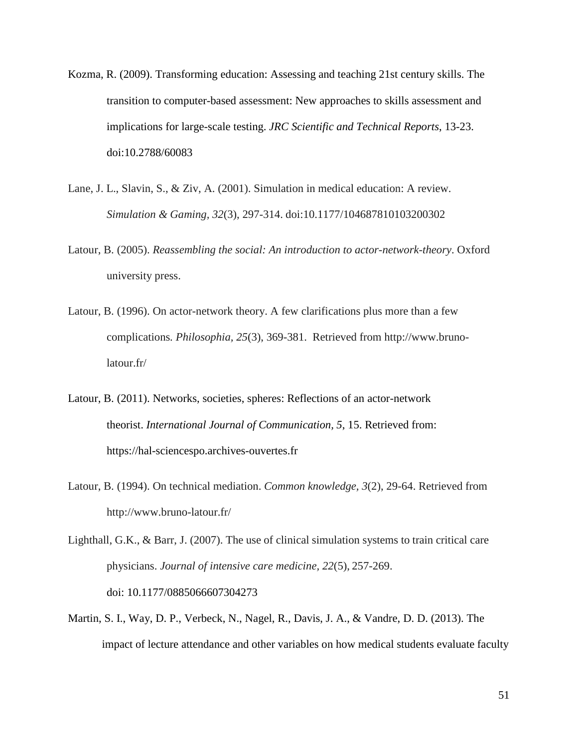- Kozma, R. (2009). Transforming education: Assessing and teaching 21st century skills. The transition to computer-based assessment: New approaches to skills assessment and implications for large-scale testing. *JRC Scientific and Technical Reports*, 13-23. doi:10.2788/60083
- Lane, J. L., Slavin, S., & Ziv, A. (2001). Simulation in medical education: A review. *Simulation & Gaming, 32*(3), 297-314. doi:10.1177/104687810103200302
- Latour, B. (2005). *Reassembling the social: An introduction to actor-network-theory*. Oxford university press.
- Latour, B. (1996). On actor-network theory. A few clarifications plus more than a few complications*. Philosophia, 25*(3), 369-381. Retrieved from http://www.brunolatour.fr/
- Latour, B. (2011). Networks, societies, spheres: Reflections of an actor-network theorist. *International Journal of Communication, 5*, 15. Retrieved from: https://hal-sciencespo.archives-ouvertes.fr
- Latour, B. (1994). On technical mediation. *Common knowledge, 3*(2), 29-64. Retrieved from http://www.bruno-latour.fr/
- Lighthall, G.K., & Barr, J. (2007). The use of clinical simulation systems to train critical care physicians. *Journal of intensive care medicine, 22*(5), 257-269. doi: 10.1177/0885066607304273
- Martin, S. I., Way, D. P., Verbeck, N., Nagel, R., Davis, J. A., & Vandre, D. D. (2013). The impact of lecture attendance and other variables on how medical students evaluate faculty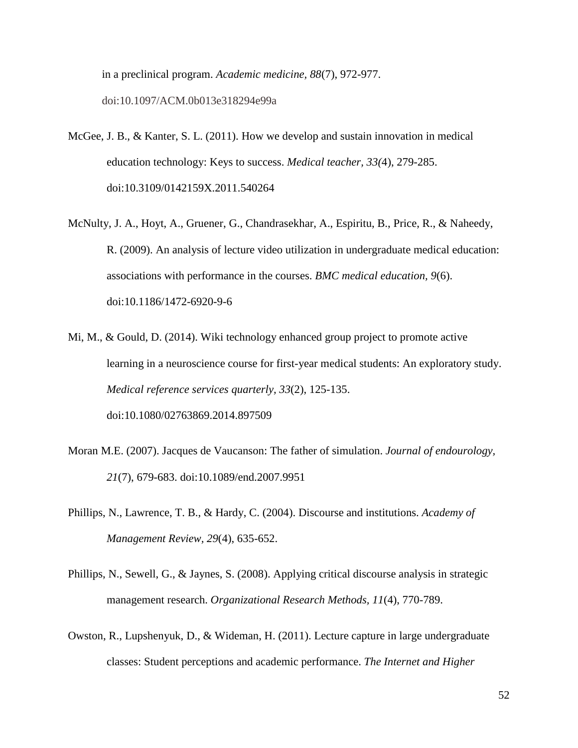in a preclinical program. *Academic medicine, 88*(7), 972-977. doi:10.1097/ACM.0b013e318294e99a

- McGee, J. B., & Kanter, S. L. (2011). How we develop and sustain innovation in medical education technology: Keys to success. *Medical teacher, 33(*4), 279-285. doi:10.3109/0142159X.2011.540264
- McNulty, J. A., Hoyt, A., Gruener, G., Chandrasekhar, A., Espiritu, B., Price, R., & Naheedy, R. (2009). An analysis of lecture video utilization in undergraduate medical education: associations with performance in the courses. *BMC medical education, 9*(6). doi:10.1186/1472-6920-9-6
- Mi, M., & Gould, D. (2014). Wiki technology enhanced group project to promote active learning in a neuroscience course for first-year medical students: An exploratory study. *Medical reference services quarterly, 33*(2), 125-135. doi:10.1080/02763869.2014.897509
- Moran M.E. (2007). Jacques de Vaucanson: The father of simulation. *Journal of endourology, 21*(7), 679-683. doi:10.1089/end.2007.9951
- Phillips, N., Lawrence, T. B., & Hardy, C. (2004). Discourse and institutions. *Academy of Management Review, 29*(4), 635-652.
- Phillips, N., Sewell, G., & Jaynes, S. (2008). Applying critical discourse analysis in strategic management research. *Organizational Research Methods, 11*(4), 770-789.
- Owston, R., Lupshenyuk, D., & Wideman, H. (2011). Lecture capture in large undergraduate classes: Student perceptions and academic performance. *The Internet and Higher*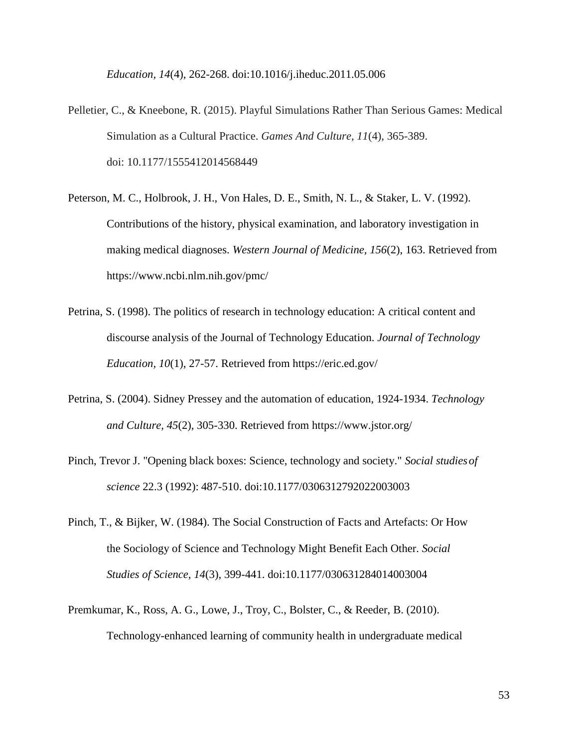*Education, 14*(4), 262-268. doi:10.1016/j.iheduc.2011.05.006

- Pelletier, C., & Kneebone, R. (2015). Playful Simulations Rather Than Serious Games: Medical Simulation as a Cultural Practice. *Games And Culture, 11*(4), 365-389. doi: 10.1177/1555412014568449
- Peterson, M. C., Holbrook, J. H., Von Hales, D. E., Smith, N. L., & Staker, L. V. (1992). Contributions of the history, physical examination, and laboratory investigation in making medical diagnoses. *Western Journal of Medicine, 156*(2), 163. Retrieved from https://www.ncbi.nlm.nih.gov/pmc/
- Petrina, S. (1998). The politics of research in technology education: A critical content and discourse analysis of the Journal of Technology Education. *Journal of Technology Education, 10*(1), 27-57. Retrieved from https://eric.ed.gov/
- Petrina, S. (2004). Sidney Pressey and the automation of education, 1924-1934. *Technology and Culture, 45*(2), 305-330. Retrieved from https://www.jstor.org/
- Pinch, Trevor J. "Opening black boxes: Science, technology and society." *Social studiesof science* 22.3 (1992): 487-510. doi:10.1177/0306312792022003003
- Pinch, T., & Bijker, W. (1984). The Social Construction of Facts and Artefacts: Or How the Sociology of Science and Technology Might Benefit Each Other. *Social Studies of Science, 14*(3), 399-441. doi:10.1177/030631284014003004
- Premkumar, K., Ross, A. G., Lowe, J., Troy, C., Bolster, C., & Reeder, B. (2010). Technology-enhanced learning of community health in undergraduate medical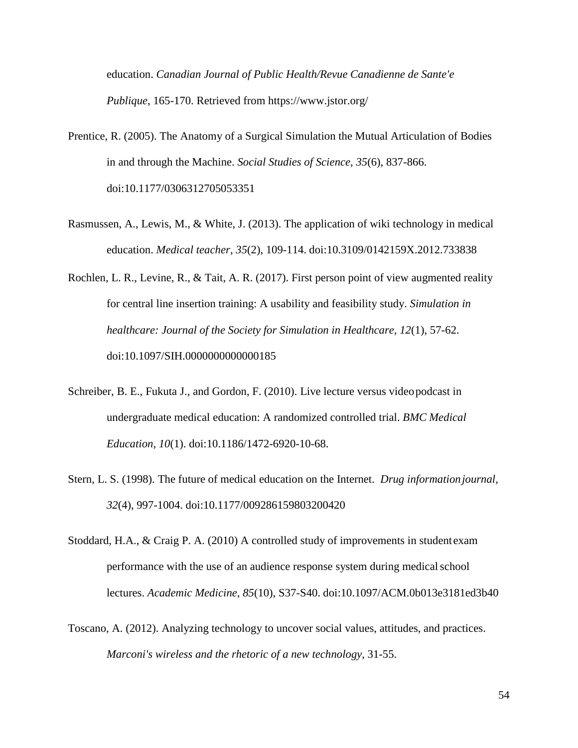education. *Canadian Journal of Public Health/Revue Canadienne de Sante'e Publique*, 165-170. Retrieved from https://www.jstor.org/

- Prentice, R. (2005). The Anatomy of a Surgical Simulation the Mutual Articulation of Bodies in and through the Machine. *Social Studies of Science, 35*(6), 837-866. doi:10.1177/0306312705053351
- Rasmussen, A., Lewis, M., & White, J. (2013). The application of wiki technology in medical education. *Medical teacher, 35*(2), 109-114. doi:10.3109/0142159X.2012.733838
- Rochlen, L. R., Levine, R., & Tait, A. R. (2017). First person point of view augmented reality for central line insertion training: A usability and feasibility study. *Simulation in healthcare: Journal of the Society for Simulation in Healthcare, 12*(1), 57-62. doi:10.1097/SIH.0000000000000185
- Schreiber, B. E., Fukuta J., and Gordon, F. (2010). Live lecture versus videopodcast in undergraduate medical education: A randomized controlled trial. *BMC Medical Education, 10*(1). doi:10.1186/1472-6920-10-68.
- Stern, L. S. (1998). The future of medical education on the Internet. *Drug informationjournal, 32*(4), 997-1004. doi:10.1177/009286159803200420
- Stoddard, H.A., & Craig P. A. (2010) A controlled study of improvements in studentexam performance with the use of an audience response system during medicalschool lectures. *Academic Medicine, 85*(10), S37-S40. doi:10.1097/ACM.0b013e3181ed3b40
- Toscano, A. (2012). Analyzing technology to uncover social values, attitudes, and practices. *Marconi's wireless and the rhetoric of a new technology,* 31-55.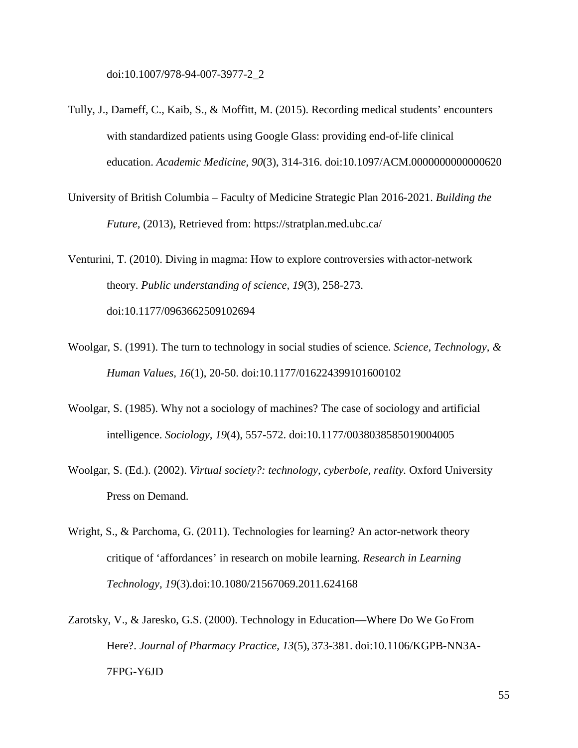doi:10.1007/978-94-007-3977-2\_2

- Tully, J., Dameff, C., Kaib, S., & Moffitt, M. (2015). Recording medical students' encounters with standardized patients using Google Glass: providing end-of-life clinical education. *Academic Medicine, 90*(3), 314-316. doi:10.1097/ACM.0000000000000620
- University of British Columbia Faculty of Medicine Strategic Plan 2016-2021. *Building the Future,* (2013), Retrieved from: https://stratplan.med.ubc.ca/

Venturini, T. (2010). Diving in magma: How to explore controversies with actor-network theory. *Public understanding of science, 19*(3), 258-273. doi:10.1177/0963662509102694

- Woolgar, S. (1991). The turn to technology in social studies of science. *Science, Technology, & Human Values, 16*(1), 20-50. doi:10.1177/016224399101600102
- Woolgar, S. (1985). Why not a sociology of machines? The case of sociology and artificial intelligence. *Sociology, 19*(4), 557-572. doi:10.1177/0038038585019004005
- Woolgar, S. (Ed.). (2002). *Virtual society?: technology, cyberbole, reality.* Oxford University Press on Demand.
- Wright, S., & Parchoma, G. (2011). Technologies for learning? An actor-network theory critique of 'affordances' in research on mobile learning*. Research in Learning Technology, 19*(3).doi:10.1080/21567069.2011.624168
- Zarotsky, V., & Jaresko, G.S. (2000). Technology in Education—Where Do We GoFrom Here?. *Journal of Pharmacy Practice, 13*(5), 373-381. doi:10.1106/KGPB-NN3A-7FPG-Y6JD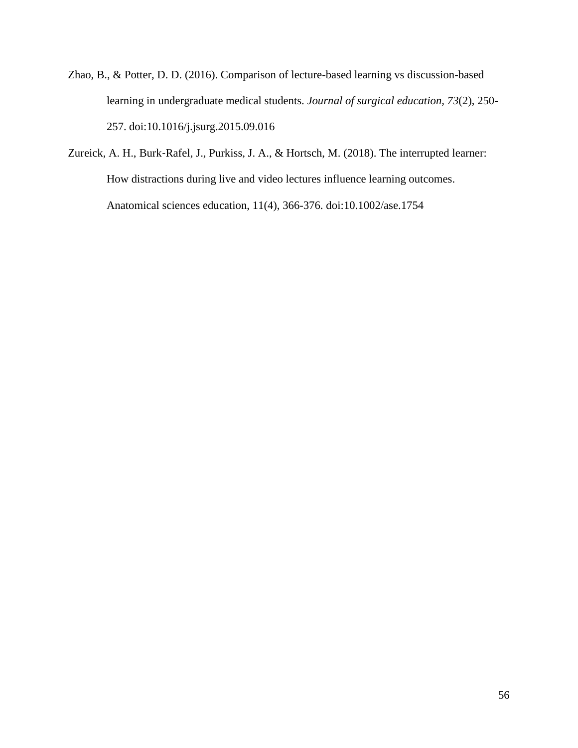- Zhao, B., & Potter, D. D. (2016). Comparison of lecture-based learning vs discussion-based learning in undergraduate medical students. *Journal of surgical education, 73*(2), 250- 257. doi:10.1016/j.jsurg.2015.09.016
- Zureick, A. H., Burk-Rafel, J., Purkiss, J. A., & Hortsch, M. (2018). The interrupted learner: How distractions during live and video lectures influence learning outcomes. Anatomical sciences education, 11(4), 366-376. doi:10.1002/ase.1754